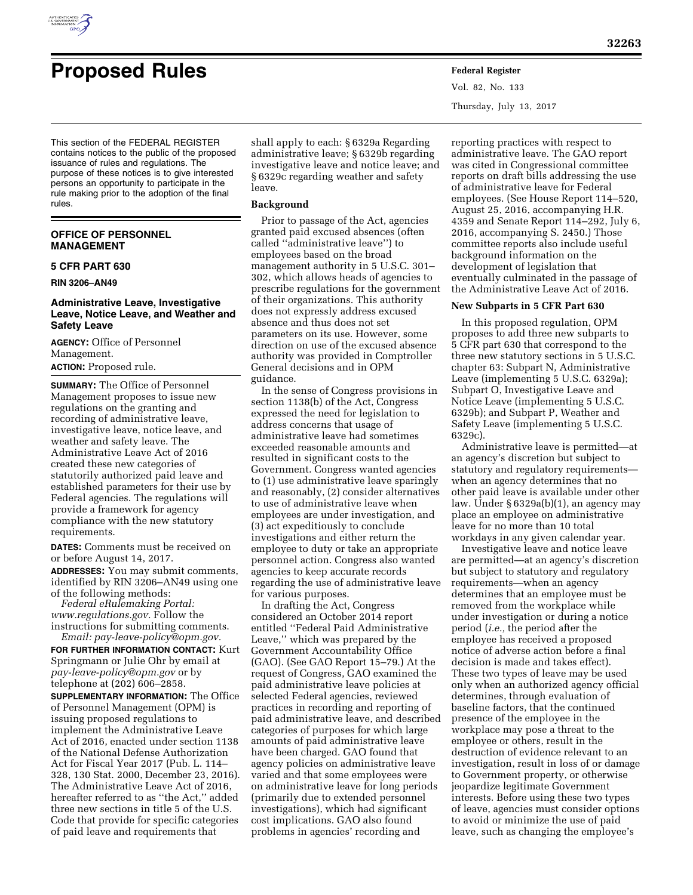

Vol. 82, No. 133 Thursday, July 13, 2017

This section of the FEDERAL REGISTER contains notices to the public of the proposed issuance of rules and regulations. The purpose of these notices is to give interested persons an opportunity to participate in the rule making prior to the adoption of the final rules.

# **OFFICE OF PERSONNEL MANAGEMENT**

# **5 CFR PART 630**

# **RIN 3206–AN49**

# **Administrative Leave, Investigative Leave, Notice Leave, and Weather and Safety Leave**

**AGENCY:** Office of Personnel Management. **ACTION:** Proposed rule.

**SUMMARY:** The Office of Personnel Management proposes to issue new regulations on the granting and recording of administrative leave, investigative leave, notice leave, and weather and safety leave. The Administrative Leave Act of 2016 created these new categories of statutorily authorized paid leave and established parameters for their use by Federal agencies. The regulations will provide a framework for agency compliance with the new statutory requirements.

**DATES:** Comments must be received on or before August 14, 2017.

**ADDRESSES:** You may submit comments, identified by RIN 3206–AN49 using one of the following methods:

*Federal eRulemaking Portal: [www.regulations.gov.](http://www.regulations.gov)* Follow the instructions for submitting comments. *Email: [pay-leave-policy@opm.gov.](mailto:pay-leave-policy@opm.gov)* 

**FOR FURTHER INFORMATION CONTACT:** Kurt Springmann or Julie Ohr by email at *[pay-leave-policy@opm.gov](mailto:pay-leave-policy@opm.gov)* or by telephone at (202) 606–2858.

**SUPPLEMENTARY INFORMATION:** The Office of Personnel Management (OPM) is issuing proposed regulations to implement the Administrative Leave Act of 2016, enacted under section 1138 of the National Defense Authorization Act for Fiscal Year 2017 (Pub. L. 114– 328, 130 Stat. 2000, December 23, 2016). The Administrative Leave Act of 2016, hereafter referred to as ''the Act,'' added three new sections in title 5 of the U.S. Code that provide for specific categories of paid leave and requirements that

shall apply to each: § 6329a Regarding administrative leave; § 6329b regarding investigative leave and notice leave; and § 6329c regarding weather and safety leave.

#### **Background**

Prior to passage of the Act, agencies granted paid excused absences (often called ''administrative leave'') to employees based on the broad management authority in 5 U.S.C. 301– 302, which allows heads of agencies to prescribe regulations for the government of their organizations. This authority does not expressly address excused absence and thus does not set parameters on its use. However, some direction on use of the excused absence authority was provided in Comptroller General decisions and in OPM guidance.

In the sense of Congress provisions in section 1138(b) of the Act, Congress expressed the need for legislation to address concerns that usage of administrative leave had sometimes exceeded reasonable amounts and resulted in significant costs to the Government. Congress wanted agencies to (1) use administrative leave sparingly and reasonably, (2) consider alternatives to use of administrative leave when employees are under investigation, and (3) act expeditiously to conclude investigations and either return the employee to duty or take an appropriate personnel action. Congress also wanted agencies to keep accurate records regarding the use of administrative leave for various purposes.

In drafting the Act, Congress considered an October 2014 report entitled ''Federal Paid Administrative Leave,'' which was prepared by the Government Accountability Office (GAO). (See GAO Report 15–79.) At the request of Congress, GAO examined the paid administrative leave policies at selected Federal agencies, reviewed practices in recording and reporting of paid administrative leave, and described categories of purposes for which large amounts of paid administrative leave have been charged. GAO found that agency policies on administrative leave varied and that some employees were on administrative leave for long periods (primarily due to extended personnel investigations), which had significant cost implications. GAO also found problems in agencies' recording and

reporting practices with respect to administrative leave. The GAO report was cited in Congressional committee reports on draft bills addressing the use of administrative leave for Federal employees. (See House Report 114–520, August 25, 2016, accompanying H.R. 4359 and Senate Report 114–292, July 6, 2016, accompanying S. 2450.) Those committee reports also include useful background information on the development of legislation that eventually culminated in the passage of the Administrative Leave Act of 2016.

#### **New Subparts in 5 CFR Part 630**

In this proposed regulation, OPM proposes to add three new subparts to 5 CFR part 630 that correspond to the three new statutory sections in 5 U.S.C. chapter 63: Subpart N, Administrative Leave (implementing 5 U.S.C. 6329a); Subpart O, Investigative Leave and Notice Leave (implementing 5 U.S.C. 6329b); and Subpart P, Weather and Safety Leave (implementing 5 U.S.C. 6329c).

Administrative leave is permitted—at an agency's discretion but subject to statutory and regulatory requirements when an agency determines that no other paid leave is available under other law. Under § 6329a(b)(1), an agency may place an employee on administrative leave for no more than 10 total workdays in any given calendar year.

Investigative leave and notice leave are permitted—at an agency's discretion but subject to statutory and regulatory requirements—when an agency determines that an employee must be removed from the workplace while under investigation or during a notice period (*i.e.,* the period after the employee has received a proposed notice of adverse action before a final decision is made and takes effect). These two types of leave may be used only when an authorized agency official determines, through evaluation of baseline factors, that the continued presence of the employee in the workplace may pose a threat to the employee or others, result in the destruction of evidence relevant to an investigation, result in loss of or damage to Government property, or otherwise jeopardize legitimate Government interests. Before using these two types of leave, agencies must consider options to avoid or minimize the use of paid leave, such as changing the employee's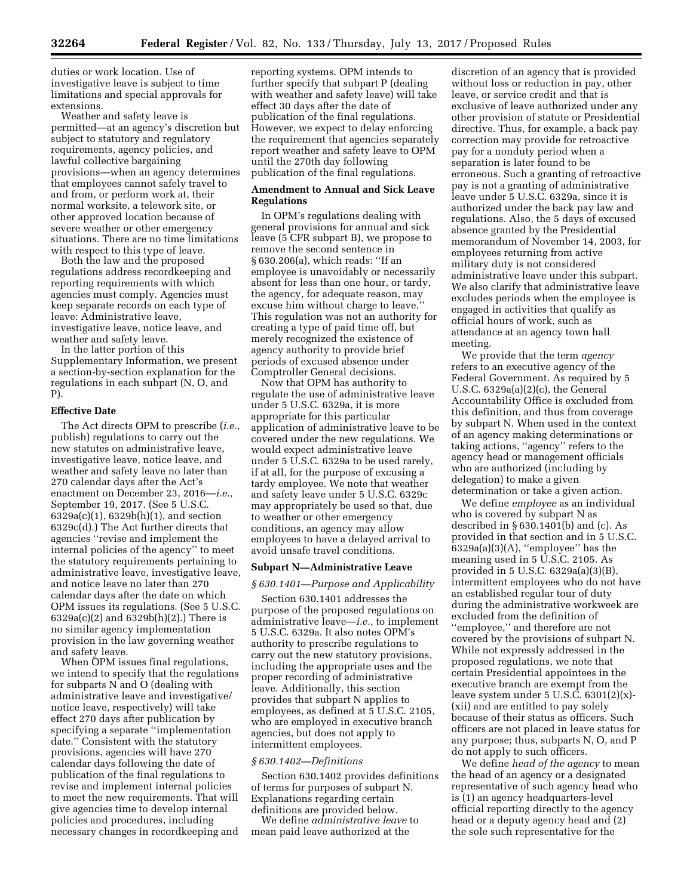duties or work location. Use of investigative leave is subject to time limitations and special approvals for extensions.

Weather and safety leave is permitted—at an agency's discretion but subject to statutory and regulatory requirements, agency policies, and lawful collective bargaining provisions—when an agency determines that employees cannot safely travel to and from, or perform work at, their normal worksite, a telework site, or other approved location because of severe weather or other emergency situations. There are no time limitations with respect to this type of leave.

Both the law and the proposed regulations address recordkeeping and reporting requirements with which agencies must comply. Agencies must keep separate records on each type of leave: Administrative leave, investigative leave, notice leave, and weather and safety leave.

In the latter portion of this Supplementary Information, we present a section-by-section explanation for the regulations in each subpart (N, O, and P).

### **Effective Date**

The Act directs OPM to prescribe (*i.e.,*  publish) regulations to carry out the new statutes on administrative leave, investigative leave, notice leave, and weather and safety leave no later than 270 calendar days after the Act's enactment on December 23, 2016—*i.e.,*  September 19, 2017. (See 5 U.S.C. 6329a(c)(1), 6329b(h)(1), and section 6329c(d).) The Act further directs that agencies ''revise and implement the internal policies of the agency'' to meet the statutory requirements pertaining to administrative leave, investigative leave, and notice leave no later than 270 calendar days after the date on which OPM issues its regulations. (See 5 U.S.C. 6329a(c)(2) and 6329b(h)(2).) There is no similar agency implementation provision in the law governing weather and safety leave.

When OPM issues final regulations, we intend to specify that the regulations for subparts N and O (dealing with administrative leave and investigative/ notice leave, respectively) will take effect 270 days after publication by specifying a separate ''implementation date.'' Consistent with the statutory provisions, agencies will have 270 calendar days following the date of publication of the final regulations to revise and implement internal policies to meet the new requirements. That will give agencies time to develop internal policies and procedures, including necessary changes in recordkeeping and

reporting systems. OPM intends to further specify that subpart P (dealing with weather and safety leave) will take effect 30 days after the date of publication of the final regulations. However, we expect to delay enforcing the requirement that agencies separately report weather and safety leave to OPM until the 270th day following publication of the final regulations.

### **Amendment to Annual and Sick Leave Regulations**

In OPM's regulations dealing with general provisions for annual and sick leave (5 CFR subpart B), we propose to remove the second sentence in § 630.206(a), which reads: ''If an employee is unavoidably or necessarily absent for less than one hour, or tardy, the agency, for adequate reason, may excuse him without charge to leave.'' This regulation was not an authority for creating a type of paid time off, but merely recognized the existence of agency authority to provide brief periods of excused absence under Comptroller General decisions.

Now that OPM has authority to regulate the use of administrative leave under 5 U.S.C. 6329a, it is more appropriate for this particular application of administrative leave to be covered under the new regulations. We would expect administrative leave under 5 U.S.C. 6329a to be used rarely, if at all, for the purpose of excusing a tardy employee. We note that weather and safety leave under 5 U.S.C. 6329c may appropriately be used so that, due to weather or other emergency conditions, an agency may allow employees to have a delayed arrival to avoid unsafe travel conditions.

# **Subpart N—Administrative Leave**

#### *§ 630.1401—Purpose and Applicability*

Section 630.1401 addresses the purpose of the proposed regulations on administrative leave—*i.e.,* to implement 5 U.S.C. 6329a. It also notes OPM's authority to prescribe regulations to carry out the new statutory provisions, including the appropriate uses and the proper recording of administrative leave. Additionally, this section provides that subpart N applies to employees, as defined at 5 U.S.C. 2105, who are employed in executive branch agencies, but does not apply to intermittent employees.

# *§ 630.1402—Definitions*

Section 630.1402 provides definitions of terms for purposes of subpart N. Explanations regarding certain definitions are provided below.

We define *administrative leave* to mean paid leave authorized at the

discretion of an agency that is provided without loss or reduction in pay, other leave, or service credit and that is exclusive of leave authorized under any other provision of statute or Presidential directive. Thus, for example, a back pay correction may provide for retroactive pay for a nonduty period when a separation is later found to be erroneous. Such a granting of retroactive pay is not a granting of administrative leave under 5 U.S.C. 6329a, since it is authorized under the back pay law and regulations. Also, the 5 days of excused absence granted by the Presidential memorandum of November 14, 2003, for employees returning from active military duty is not considered administrative leave under this subpart. We also clarify that administrative leave excludes periods when the employee is engaged in activities that qualify as official hours of work, such as attendance at an agency town hall meeting.

We provide that the term *agency*  refers to an executive agency of the Federal Government. As required by 5 U.S.C. 6329a(a)(2)(c), the General Accountability Office is excluded from this definition, and thus from coverage by subpart N. When used in the context of an agency making determinations or taking actions, ''agency'' refers to the agency head or management officials who are authorized (including by delegation) to make a given determination or take a given action.

We define *employee* as an individual who is covered by subpart N as described in § 630.1401(b) and (c). As provided in that section and in 5 U.S.C.  $6329a(a)(3)(A)$ , "employee" has the meaning used in 5 U.S.C. 2105. As provided in 5 U.S.C. 6329a(a)(3)(B), intermittent employees who do not have an established regular tour of duty during the administrative workweek are excluded from the definition of ''employee,'' and therefore are not covered by the provisions of subpart N. While not expressly addressed in the proposed regulations, we note that certain Presidential appointees in the executive branch are exempt from the leave system under 5 U.S.C. 6301(2)(x)- (xii) and are entitled to pay solely because of their status as officers. Such officers are not placed in leave status for any purpose; thus, subparts N, O, and P do not apply to such officers.

We define *head of the agency* to mean the head of an agency or a designated representative of such agency head who is (1) an agency headquarters-level official reporting directly to the agency head or a deputy agency head and (2) the sole such representative for the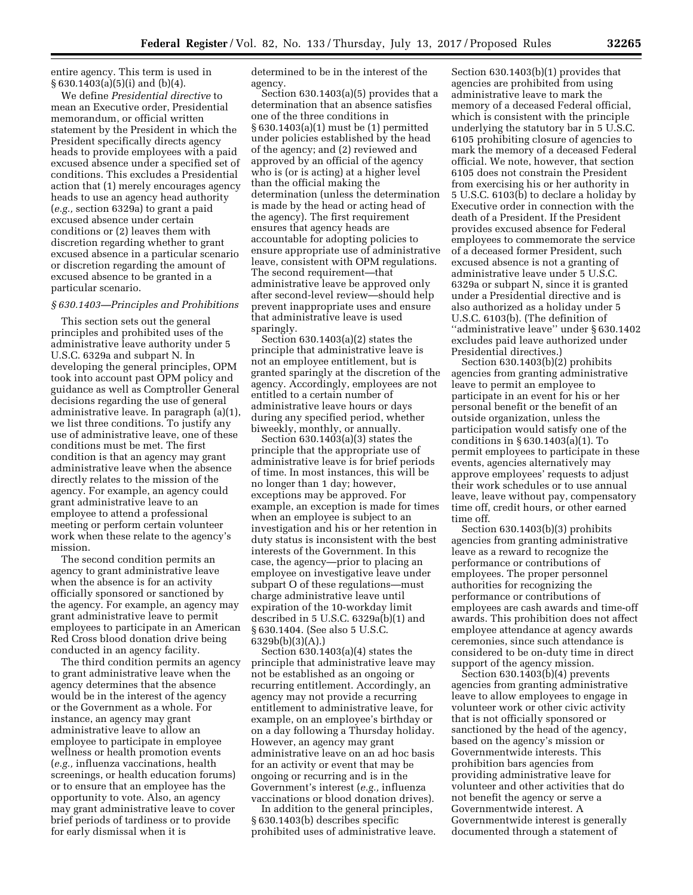entire agency. This term is used in § 630.1403(a)(5)(i) and (b)(4).

We define *Presidential directive* to mean an Executive order, Presidential memorandum, or official written statement by the President in which the President specifically directs agency heads to provide employees with a paid excused absence under a specified set of conditions. This excludes a Presidential action that (1) merely encourages agency heads to use an agency head authority (*e.g.,* section 6329a) to grant a paid excused absence under certain conditions or (2) leaves them with discretion regarding whether to grant excused absence in a particular scenario or discretion regarding the amount of excused absence to be granted in a particular scenario.

#### *§ 630.1403—Principles and Prohibitions*

This section sets out the general principles and prohibited uses of the administrative leave authority under 5 U.S.C. 6329a and subpart N. In developing the general principles, OPM took into account past OPM policy and guidance as well as Comptroller General decisions regarding the use of general administrative leave. In paragraph (a)(1), we list three conditions. To justify any use of administrative leave, one of these conditions must be met. The first condition is that an agency may grant administrative leave when the absence directly relates to the mission of the agency. For example, an agency could grant administrative leave to an employee to attend a professional meeting or perform certain volunteer work when these relate to the agency's mission.

The second condition permits an agency to grant administrative leave when the absence is for an activity officially sponsored or sanctioned by the agency. For example, an agency may grant administrative leave to permit employees to participate in an American Red Cross blood donation drive being conducted in an agency facility.

The third condition permits an agency to grant administrative leave when the agency determines that the absence would be in the interest of the agency or the Government as a whole. For instance, an agency may grant administrative leave to allow an employee to participate in employee wellness or health promotion events (*e.g.,* influenza vaccinations, health screenings, or health education forums) or to ensure that an employee has the opportunity to vote. Also, an agency may grant administrative leave to cover brief periods of tardiness or to provide for early dismissal when it is

determined to be in the interest of the agency.

Section 630.1403(a)(5) provides that a determination that an absence satisfies one of the three conditions in § 630.1403(a)(1) must be (1) permitted under policies established by the head of the agency; and (2) reviewed and approved by an official of the agency who is (or is acting) at a higher level than the official making the determination (unless the determination is made by the head or acting head of the agency). The first requirement ensures that agency heads are accountable for adopting policies to ensure appropriate use of administrative leave, consistent with OPM regulations. The second requirement—that administrative leave be approved only after second-level review—should help prevent inappropriate uses and ensure that administrative leave is used sparingly.

Section 630.1403(a)(2) states the principle that administrative leave is not an employee entitlement, but is granted sparingly at the discretion of the agency. Accordingly, employees are not entitled to a certain number of administrative leave hours or days during any specified period, whether biweekly, monthly, or annually.

Section  $630.1403(a)(3)$  states the principle that the appropriate use of administrative leave is for brief periods of time. In most instances, this will be no longer than 1 day; however, exceptions may be approved. For example, an exception is made for times when an employee is subject to an investigation and his or her retention in duty status is inconsistent with the best interests of the Government. In this case, the agency—prior to placing an employee on investigative leave under subpart O of these regulations—must charge administrative leave until expiration of the 10-workday limit described in 5 U.S.C. 6329a(b)(1) and § 630.1404. (See also 5 U.S.C. 6329b(b)(3)(A).)

Section 630.1403(a)(4) states the principle that administrative leave may not be established as an ongoing or recurring entitlement. Accordingly, an agency may not provide a recurring entitlement to administrative leave, for example, on an employee's birthday or on a day following a Thursday holiday. However, an agency may grant administrative leave on an ad hoc basis for an activity or event that may be ongoing or recurring and is in the Government's interest (*e.g.,* influenza vaccinations or blood donation drives).

In addition to the general principles, § 630.1403(b) describes specific prohibited uses of administrative leave.

Section 630.1403(b)(1) provides that agencies are prohibited from using administrative leave to mark the memory of a deceased Federal official, which is consistent with the principle underlying the statutory bar in 5 U.S.C. 6105 prohibiting closure of agencies to mark the memory of a deceased Federal official. We note, however, that section 6105 does not constrain the President from exercising his or her authority in 5 U.S.C. 6103(b) to declare a holiday by Executive order in connection with the death of a President. If the President provides excused absence for Federal employees to commemorate the service of a deceased former President, such excused absence is not a granting of administrative leave under 5 U.S.C. 6329a or subpart N, since it is granted under a Presidential directive and is also authorized as a holiday under 5 U.S.C. 6103(b). (The definition of ''administrative leave'' under § 630.1402 excludes paid leave authorized under Presidential directives.)

Section 630.1403(b)(2) prohibits agencies from granting administrative leave to permit an employee to participate in an event for his or her personal benefit or the benefit of an outside organization, unless the participation would satisfy one of the conditions in § 630.1403(a)(1). To permit employees to participate in these events, agencies alternatively may approve employees' requests to adjust their work schedules or to use annual leave, leave without pay, compensatory time off, credit hours, or other earned time off.

Section 630.1403(b)(3) prohibits agencies from granting administrative leave as a reward to recognize the performance or contributions of employees. The proper personnel authorities for recognizing the performance or contributions of employees are cash awards and time-off awards. This prohibition does not affect employee attendance at agency awards ceremonies, since such attendance is considered to be on-duty time in direct support of the agency mission.

Section 630.1403(b)(4) prevents agencies from granting administrative leave to allow employees to engage in volunteer work or other civic activity that is not officially sponsored or sanctioned by the head of the agency, based on the agency's mission or Governmentwide interests. This prohibition bars agencies from providing administrative leave for volunteer and other activities that do not benefit the agency or serve a Governmentwide interest. A Governmentwide interest is generally documented through a statement of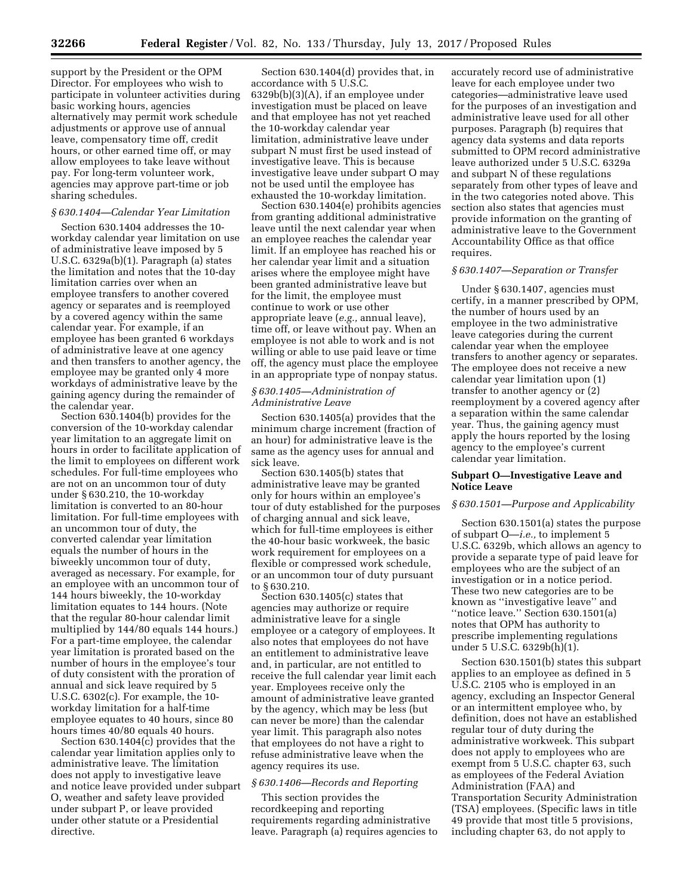support by the President or the OPM Director. For employees who wish to participate in volunteer activities during basic working hours, agencies alternatively may permit work schedule adjustments or approve use of annual leave, compensatory time off, credit hours, or other earned time off, or may allow employees to take leave without pay. For long-term volunteer work, agencies may approve part-time or job sharing schedules.

# *§ 630.1404—Calendar Year Limitation*

Section 630.1404 addresses the 10 workday calendar year limitation on use of administrative leave imposed by 5 U.S.C. 6329a(b)(1). Paragraph (a) states the limitation and notes that the 10-day limitation carries over when an employee transfers to another covered agency or separates and is reemployed by a covered agency within the same calendar year. For example, if an employee has been granted 6 workdays of administrative leave at one agency and then transfers to another agency, the employee may be granted only 4 more workdays of administrative leave by the gaining agency during the remainder of the calendar year.

Section 630.1404(b) provides for the conversion of the 10-workday calendar year limitation to an aggregate limit on hours in order to facilitate application of the limit to employees on different work schedules. For full-time employees who are not on an uncommon tour of duty under § 630.210, the 10-workday limitation is converted to an 80-hour limitation. For full-time employees with an uncommon tour of duty, the converted calendar year limitation equals the number of hours in the biweekly uncommon tour of duty, averaged as necessary. For example, for an employee with an uncommon tour of 144 hours biweekly, the 10-workday limitation equates to 144 hours. (Note that the regular 80-hour calendar limit multiplied by 144/80 equals 144 hours.) For a part-time employee, the calendar year limitation is prorated based on the number of hours in the employee's tour of duty consistent with the proration of annual and sick leave required by 5 U.S.C. 6302(c). For example, the 10 workday limitation for a half-time employee equates to 40 hours, since 80 hours times 40/80 equals 40 hours.

Section 630.1404(c) provides that the calendar year limitation applies only to administrative leave. The limitation does not apply to investigative leave and notice leave provided under subpart O, weather and safety leave provided under subpart P, or leave provided under other statute or a Presidential directive.

Section 630.1404(d) provides that, in accordance with 5 U.S.C. 6329b(b)(3)(A), if an employee under investigation must be placed on leave and that employee has not yet reached the 10-workday calendar year limitation, administrative leave under subpart N must first be used instead of investigative leave. This is because investigative leave under subpart O may not be used until the employee has exhausted the 10-workday limitation.

Section 630.1404(e) prohibits agencies from granting additional administrative leave until the next calendar year when an employee reaches the calendar year limit. If an employee has reached his or her calendar year limit and a situation arises where the employee might have been granted administrative leave but for the limit, the employee must continue to work or use other appropriate leave (*e.g.,* annual leave), time off, or leave without pay. When an employee is not able to work and is not willing or able to use paid leave or time off, the agency must place the employee in an appropriate type of nonpay status.

# *§ 630.1405—Administration of Administrative Leave*

Section 630.1405(a) provides that the minimum charge increment (fraction of an hour) for administrative leave is the same as the agency uses for annual and sick leave.

Section 630.1405(b) states that administrative leave may be granted only for hours within an employee's tour of duty established for the purposes of charging annual and sick leave, which for full-time employees is either the 40-hour basic workweek, the basic work requirement for employees on a flexible or compressed work schedule, or an uncommon tour of duty pursuant to § 630.210.

Section 630.1405(c) states that agencies may authorize or require administrative leave for a single employee or a category of employees. It also notes that employees do not have an entitlement to administrative leave and, in particular, are not entitled to receive the full calendar year limit each year. Employees receive only the amount of administrative leave granted by the agency, which may be less (but can never be more) than the calendar year limit. This paragraph also notes that employees do not have a right to refuse administrative leave when the agency requires its use.

# *§ 630.1406—Records and Reporting*

This section provides the recordkeeping and reporting requirements regarding administrative leave. Paragraph (a) requires agencies to

accurately record use of administrative leave for each employee under two categories—administrative leave used for the purposes of an investigation and administrative leave used for all other purposes. Paragraph (b) requires that agency data systems and data reports submitted to OPM record administrative leave authorized under 5 U.S.C. 6329a and subpart N of these regulations separately from other types of leave and in the two categories noted above. This section also states that agencies must provide information on the granting of administrative leave to the Government Accountability Office as that office requires.

#### *§ 630.1407—Separation or Transfer*

Under § 630.1407, agencies must certify, in a manner prescribed by OPM, the number of hours used by an employee in the two administrative leave categories during the current calendar year when the employee transfers to another agency or separates. The employee does not receive a new calendar year limitation upon (1) transfer to another agency or (2) reemployment by a covered agency after a separation within the same calendar year. Thus, the gaining agency must apply the hours reported by the losing agency to the employee's current calendar year limitation.

# **Subpart O—Investigative Leave and Notice Leave**

# *§ 630.1501—Purpose and Applicability*

Section 630.1501(a) states the purpose of subpart O—*i.e.,* to implement 5 U.S.C. 6329b, which allows an agency to provide a separate type of paid leave for employees who are the subject of an investigation or in a notice period. These two new categories are to be known as ''investigative leave'' and "notice leave." Section 630.1501(a) notes that OPM has authority to prescribe implementing regulations under 5 U.S.C. 6329b(h)(1).

Section 630.1501(b) states this subpart applies to an employee as defined in 5 U.S.C. 2105 who is employed in an agency, excluding an Inspector General or an intermittent employee who, by definition, does not have an established regular tour of duty during the administrative workweek. This subpart does not apply to employees who are exempt from 5 U.S.C. chapter 63, such as employees of the Federal Aviation Administration (FAA) and Transportation Security Administration (TSA) employees. (Specific laws in title 49 provide that most title 5 provisions, including chapter 63, do not apply to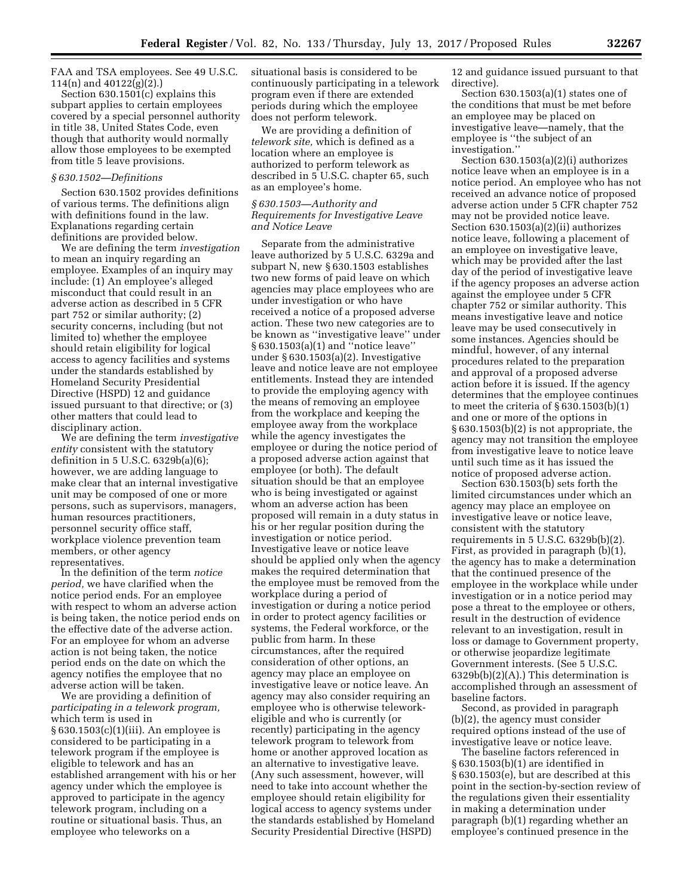FAA and TSA employees. See 49 U.S.C. 114(n) and 40122(g)(2).)

Section 630.1501(c) explains this subpart applies to certain employees covered by a special personnel authority in title 38, United States Code, even though that authority would normally allow those employees to be exempted from title 5 leave provisions.

# *§ 630.1502—Definitions*

Section 630.1502 provides definitions of various terms. The definitions align with definitions found in the law. Explanations regarding certain definitions are provided below.

We are defining the term *investigation*  to mean an inquiry regarding an employee. Examples of an inquiry may include: (1) An employee's alleged misconduct that could result in an adverse action as described in 5 CFR part 752 or similar authority; (2) security concerns, including (but not limited to) whether the employee should retain eligibility for logical access to agency facilities and systems under the standards established by Homeland Security Presidential Directive (HSPD) 12 and guidance issued pursuant to that directive; or (3) other matters that could lead to disciplinary action.

We are defining the term *investigative entity* consistent with the statutory definition in 5 U.S.C. 6329b(a)(6); however, we are adding language to make clear that an internal investigative unit may be composed of one or more persons, such as supervisors, managers, human resources practitioners, personnel security office staff, workplace violence prevention team members, or other agency representatives.

In the definition of the term *notice period,* we have clarified when the notice period ends. For an employee with respect to whom an adverse action is being taken, the notice period ends on the effective date of the adverse action. For an employee for whom an adverse action is not being taken, the notice period ends on the date on which the agency notifies the employee that no adverse action will be taken.

We are providing a definition of *participating in a telework program,*  which term is used in § 630.1503(c)(1)(iii). An employee is considered to be participating in a telework program if the employee is eligible to telework and has an established arrangement with his or her agency under which the employee is approved to participate in the agency telework program, including on a routine or situational basis. Thus, an employee who teleworks on a

situational basis is considered to be continuously participating in a telework program even if there are extended periods during which the employee does not perform telework.

We are providing a definition of *telework site,* which is defined as a location where an employee is authorized to perform telework as described in 5 U.S.C. chapter 65, such as an employee's home.

# *§ 630.1503—Authority and Requirements for Investigative Leave and Notice Leave*

Separate from the administrative leave authorized by 5 U.S.C. 6329a and subpart N, new § 630.1503 establishes two new forms of paid leave on which agencies may place employees who are under investigation or who have received a notice of a proposed adverse action. These two new categories are to be known as ''investigative leave'' under § 630.1503(a)(1) and ''notice leave'' under § 630.1503(a)(2). Investigative leave and notice leave are not employee entitlements. Instead they are intended to provide the employing agency with the means of removing an employee from the workplace and keeping the employee away from the workplace while the agency investigates the employee or during the notice period of a proposed adverse action against that employee (or both). The default situation should be that an employee who is being investigated or against whom an adverse action has been proposed will remain in a duty status in his or her regular position during the investigation or notice period. Investigative leave or notice leave should be applied only when the agency makes the required determination that the employee must be removed from the workplace during a period of investigation or during a notice period in order to protect agency facilities or systems, the Federal workforce, or the public from harm. In these circumstances, after the required consideration of other options, an agency may place an employee on investigative leave or notice leave. An agency may also consider requiring an employee who is otherwise teleworkeligible and who is currently (or recently) participating in the agency telework program to telework from home or another approved location as an alternative to investigative leave. (Any such assessment, however, will need to take into account whether the employee should retain eligibility for logical access to agency systems under the standards established by Homeland Security Presidential Directive (HSPD)

12 and guidance issued pursuant to that directive).

Section 630.1503(a)(1) states one of the conditions that must be met before an employee may be placed on investigative leave—namely, that the employee is ''the subject of an investigation.''

Section 630.1503(a)(2)(i) authorizes notice leave when an employee is in a notice period. An employee who has not received an advance notice of proposed adverse action under 5 CFR chapter 752 may not be provided notice leave. Section 630.1503(a)(2)(ii) authorizes notice leave, following a placement of an employee on investigative leave, which may be provided after the last day of the period of investigative leave if the agency proposes an adverse action against the employee under 5 CFR chapter 752 or similar authority. This means investigative leave and notice leave may be used consecutively in some instances. Agencies should be mindful, however, of any internal procedures related to the preparation and approval of a proposed adverse action before it is issued. If the agency determines that the employee continues to meet the criteria of  $\S 630.1503(b)(1)$ and one or more of the options in § 630.1503(b)(2) is not appropriate, the agency may not transition the employee from investigative leave to notice leave until such time as it has issued the notice of proposed adverse action.

Section 630.1503(b) sets forth the limited circumstances under which an agency may place an employee on investigative leave or notice leave, consistent with the statutory requirements in 5 U.S.C. 6329b(b)(2). First, as provided in paragraph (b)(1), the agency has to make a determination that the continued presence of the employee in the workplace while under investigation or in a notice period may pose a threat to the employee or others, result in the destruction of evidence relevant to an investigation, result in loss or damage to Government property, or otherwise jeopardize legitimate Government interests. (See 5 U.S.C. 6329b(b)(2)(A).) This determination is accomplished through an assessment of baseline factors.

Second, as provided in paragraph (b)(2), the agency must consider required options instead of the use of investigative leave or notice leave.

The baseline factors referenced in § 630.1503(b)(1) are identified in § 630.1503(e), but are described at this point in the section-by-section review of the regulations given their essentiality in making a determination under paragraph (b)(1) regarding whether an employee's continued presence in the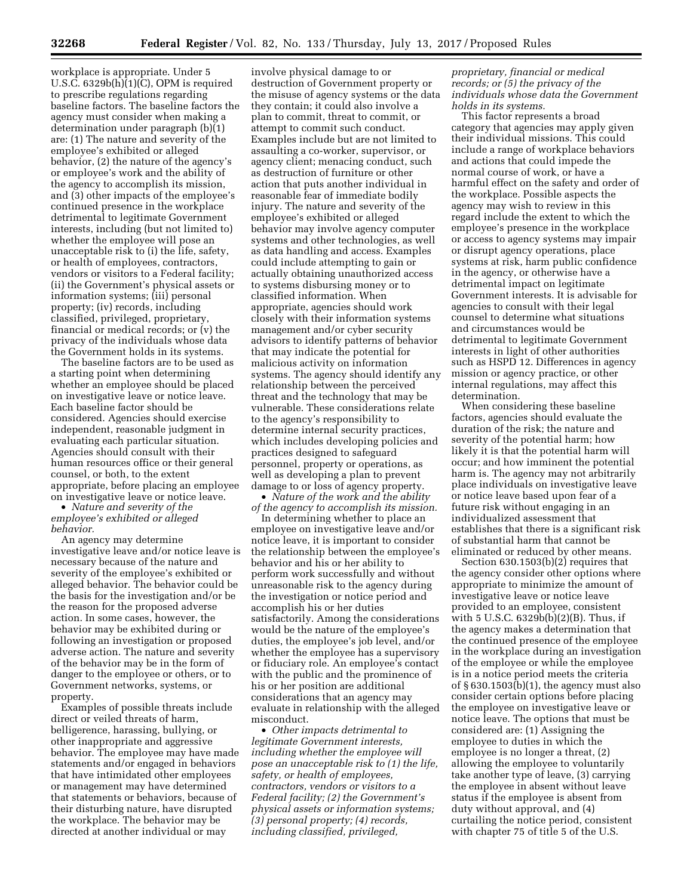workplace is appropriate. Under 5 U.S.C. 6329b(h)(1)(C), OPM is required to prescribe regulations regarding baseline factors. The baseline factors the agency must consider when making a determination under paragraph (b)(1) are: (1) The nature and severity of the employee's exhibited or alleged behavior, (2) the nature of the agency's or employee's work and the ability of the agency to accomplish its mission, and (3) other impacts of the employee's continued presence in the workplace detrimental to legitimate Government interests, including (but not limited to) whether the employee will pose an unacceptable risk to (i) the life, safety, or health of employees, contractors, vendors or visitors to a Federal facility; (ii) the Government's physical assets or information systems; (iii) personal property; (iv) records, including classified, privileged, proprietary, financial or medical records; or (v) the privacy of the individuals whose data the Government holds in its systems.

The baseline factors are to be used as a starting point when determining whether an employee should be placed on investigative leave or notice leave. Each baseline factor should be considered. Agencies should exercise independent, reasonable judgment in evaluating each particular situation. Agencies should consult with their human resources office or their general counsel, or both, to the extent appropriate, before placing an employee on investigative leave or notice leave.

• *Nature and severity of the employee's exhibited or alleged behavior.* 

An agency may determine investigative leave and/or notice leave is necessary because of the nature and severity of the employee's exhibited or alleged behavior. The behavior could be the basis for the investigation and/or be the reason for the proposed adverse action. In some cases, however, the behavior may be exhibited during or following an investigation or proposed adverse action. The nature and severity of the behavior may be in the form of danger to the employee or others, or to Government networks, systems, or property.

Examples of possible threats include direct or veiled threats of harm, belligerence, harassing, bullying, or other inappropriate and aggressive behavior. The employee may have made statements and/or engaged in behaviors that have intimidated other employees or management may have determined that statements or behaviors, because of their disturbing nature, have disrupted the workplace. The behavior may be directed at another individual or may

involve physical damage to or destruction of Government property or the misuse of agency systems or the data they contain; it could also involve a plan to commit, threat to commit, or attempt to commit such conduct. Examples include but are not limited to assaulting a co-worker, supervisor, or agency client; menacing conduct, such as destruction of furniture or other action that puts another individual in reasonable fear of immediate bodily injury. The nature and severity of the employee's exhibited or alleged behavior may involve agency computer systems and other technologies, as well as data handling and access. Examples could include attempting to gain or actually obtaining unauthorized access to systems disbursing money or to classified information. When appropriate, agencies should work closely with their information systems management and/or cyber security advisors to identify patterns of behavior that may indicate the potential for malicious activity on information systems. The agency should identify any relationship between the perceived threat and the technology that may be vulnerable. These considerations relate to the agency's responsibility to determine internal security practices, which includes developing policies and practices designed to safeguard personnel, property or operations, as well as developing a plan to prevent damage to or loss of agency property.

• *Nature of the work and the ability of the agency to accomplish its mission.* 

In determining whether to place an employee on investigative leave and/or notice leave, it is important to consider the relationship between the employee's behavior and his or her ability to perform work successfully and without unreasonable risk to the agency during the investigation or notice period and accomplish his or her duties satisfactorily. Among the considerations would be the nature of the employee's duties, the employee's job level, and/or whether the employee has a supervisory or fiduciary role. An employee's contact with the public and the prominence of his or her position are additional considerations that an agency may evaluate in relationship with the alleged misconduct.

• *Other impacts detrimental to legitimate Government interests, including whether the employee will pose an unacceptable risk to (1) the life, safety, or health of employees, contractors, vendors or visitors to a Federal facility; (2) the Government's physical assets or information systems; (3) personal property; (4) records, including classified, privileged,* 

# *proprietary, financial or medical records; or (5) the privacy of the individuals whose data the Government holds in its systems.*

This factor represents a broad category that agencies may apply given their individual missions. This could include a range of workplace behaviors and actions that could impede the normal course of work, or have a harmful effect on the safety and order of the workplace. Possible aspects the agency may wish to review in this regard include the extent to which the employee's presence in the workplace or access to agency systems may impair or disrupt agency operations, place systems at risk, harm public confidence in the agency, or otherwise have a detrimental impact on legitimate Government interests. It is advisable for agencies to consult with their legal counsel to determine what situations and circumstances would be detrimental to legitimate Government interests in light of other authorities such as HSPD 12. Differences in agency mission or agency practice, or other internal regulations, may affect this determination.

When considering these baseline factors, agencies should evaluate the duration of the risk; the nature and severity of the potential harm; how likely it is that the potential harm will occur; and how imminent the potential harm is. The agency may not arbitrarily place individuals on investigative leave or notice leave based upon fear of a future risk without engaging in an individualized assessment that establishes that there is a significant risk of substantial harm that cannot be eliminated or reduced by other means.

Section 630.1503(b)(2) requires that the agency consider other options where appropriate to minimize the amount of investigative leave or notice leave provided to an employee, consistent with 5 U.S.C. 6329b(b)(2)(B). Thus, if the agency makes a determination that the continued presence of the employee in the workplace during an investigation of the employee or while the employee is in a notice period meets the criteria of § 630.1503(b)(1), the agency must also consider certain options before placing the employee on investigative leave or notice leave. The options that must be considered are: (1) Assigning the employee to duties in which the employee is no longer a threat, (2) allowing the employee to voluntarily take another type of leave, (3) carrying the employee in absent without leave status if the employee is absent from duty without approval, and (4) curtailing the notice period, consistent with chapter 75 of title 5 of the U.S.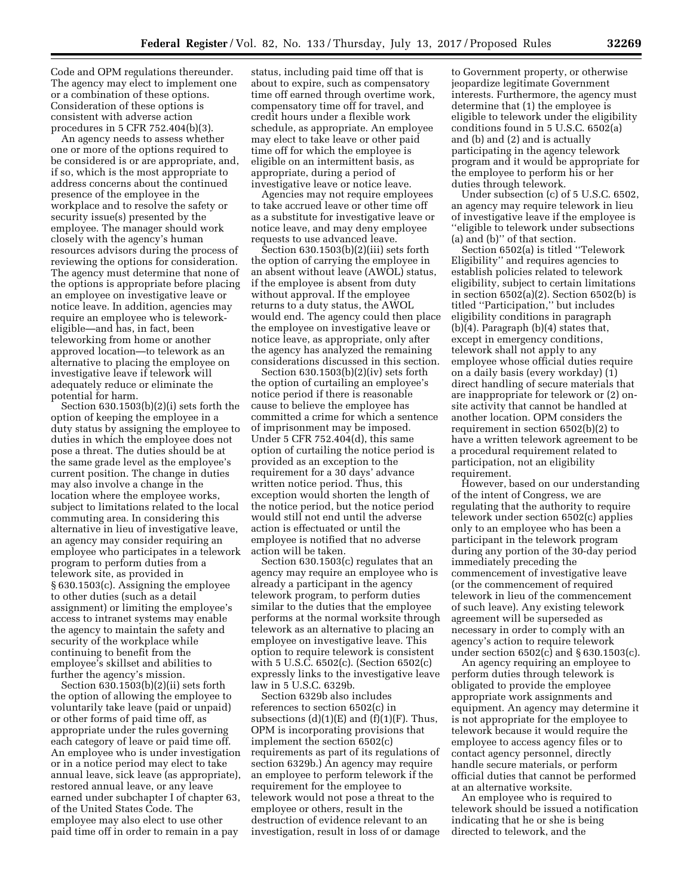Code and OPM regulations thereunder. The agency may elect to implement one or a combination of these options. Consideration of these options is consistent with adverse action procedures in 5 CFR 752.404(b)(3).

An agency needs to assess whether one or more of the options required to be considered is or are appropriate, and, if so, which is the most appropriate to address concerns about the continued presence of the employee in the workplace and to resolve the safety or security issue(s) presented by the employee. The manager should work closely with the agency's human resources advisors during the process of reviewing the options for consideration. The agency must determine that none of the options is appropriate before placing an employee on investigative leave or notice leave. In addition, agencies may require an employee who is teleworkeligible—and has, in fact, been teleworking from home or another approved location—to telework as an alternative to placing the employee on investigative leave if telework will adequately reduce or eliminate the potential for harm.

Section 630.1503(b)(2)(i) sets forth the option of keeping the employee in a duty status by assigning the employee to duties in which the employee does not pose a threat. The duties should be at the same grade level as the employee's current position. The change in duties may also involve a change in the location where the employee works, subject to limitations related to the local commuting area. In considering this alternative in lieu of investigative leave, an agency may consider requiring an employee who participates in a telework program to perform duties from a telework site, as provided in § 630.1503(c). Assigning the employee to other duties (such as a detail assignment) or limiting the employee's access to intranet systems may enable the agency to maintain the safety and security of the workplace while continuing to benefit from the employee's skillset and abilities to further the agency's mission.

Section 630.1503(b)(2)(ii) sets forth the option of allowing the employee to voluntarily take leave (paid or unpaid) or other forms of paid time off, as appropriate under the rules governing each category of leave or paid time off. An employee who is under investigation or in a notice period may elect to take annual leave, sick leave (as appropriate), restored annual leave, or any leave earned under subchapter I of chapter 63, of the United States Code. The employee may also elect to use other paid time off in order to remain in a pay

status, including paid time off that is about to expire, such as compensatory time off earned through overtime work, compensatory time off for travel, and credit hours under a flexible work schedule, as appropriate. An employee may elect to take leave or other paid time off for which the employee is eligible on an intermittent basis, as appropriate, during a period of investigative leave or notice leave.

Agencies may not require employees to take accrued leave or other time off as a substitute for investigative leave or notice leave, and may deny employee requests to use advanced leave.

Section 630.1503(b)(2)(iii) sets forth the option of carrying the employee in an absent without leave (AWOL) status, if the employee is absent from duty without approval. If the employee returns to a duty status, the AWOL would end. The agency could then place the employee on investigative leave or notice leave, as appropriate, only after the agency has analyzed the remaining considerations discussed in this section.

Section 630.1503(b)(2)(iv) sets forth the option of curtailing an employee's notice period if there is reasonable cause to believe the employee has committed a crime for which a sentence of imprisonment may be imposed. Under 5 CFR 752.404(d), this same option of curtailing the notice period is provided as an exception to the requirement for a 30 days' advance written notice period. Thus, this exception would shorten the length of the notice period, but the notice period would still not end until the adverse action is effectuated or until the employee is notified that no adverse action will be taken.

Section 630.1503(c) regulates that an agency may require an employee who is already a participant in the agency telework program, to perform duties similar to the duties that the employee performs at the normal worksite through telework as an alternative to placing an employee on investigative leave. This option to require telework is consistent with 5 U.S.C. 6502(c). (Section 6502(c) expressly links to the investigative leave law in 5 U.S.C. 6329b.

Section 6329b also includes references to section 6502(c) in subsections  $(d)(1)(E)$  and  $(f)(1)(F)$ . Thus, OPM is incorporating provisions that implement the section 6502(c) requirements as part of its regulations of section 6329b.) An agency may require an employee to perform telework if the requirement for the employee to telework would not pose a threat to the employee or others, result in the destruction of evidence relevant to an investigation, result in loss of or damage

to Government property, or otherwise jeopardize legitimate Government interests. Furthermore, the agency must determine that (1) the employee is eligible to telework under the eligibility conditions found in 5 U.S.C. 6502(a) and (b) and (2) and is actually participating in the agency telework program and it would be appropriate for the employee to perform his or her duties through telework.

Under subsection (c) of 5 U.S.C. 6502, an agency may require telework in lieu of investigative leave if the employee is ''eligible to telework under subsections (a) and (b)'' of that section.

Section 6502(a) is titled ''Telework Eligibility'' and requires agencies to establish policies related to telework eligibility, subject to certain limitations in section 6502(a)(2). Section 6502(b) is titled ''Participation,'' but includes eligibility conditions in paragraph (b)(4). Paragraph (b)(4) states that, except in emergency conditions, telework shall not apply to any employee whose official duties require on a daily basis (every workday) (1) direct handling of secure materials that are inappropriate for telework or (2) onsite activity that cannot be handled at another location. OPM considers the requirement in section 6502(b)(2) to have a written telework agreement to be a procedural requirement related to participation, not an eligibility requirement.

However, based on our understanding of the intent of Congress, we are regulating that the authority to require telework under section 6502(c) applies only to an employee who has been a participant in the telework program during any portion of the 30-day period immediately preceding the commencement of investigative leave (or the commencement of required telework in lieu of the commencement of such leave). Any existing telework agreement will be superseded as necessary in order to comply with an agency's action to require telework under section 6502(c) and § 630.1503(c).

An agency requiring an employee to perform duties through telework is obligated to provide the employee appropriate work assignments and equipment. An agency may determine it is not appropriate for the employee to telework because it would require the employee to access agency files or to contact agency personnel, directly handle secure materials, or perform official duties that cannot be performed at an alternative worksite.

An employee who is required to telework should be issued a notification indicating that he or she is being directed to telework, and the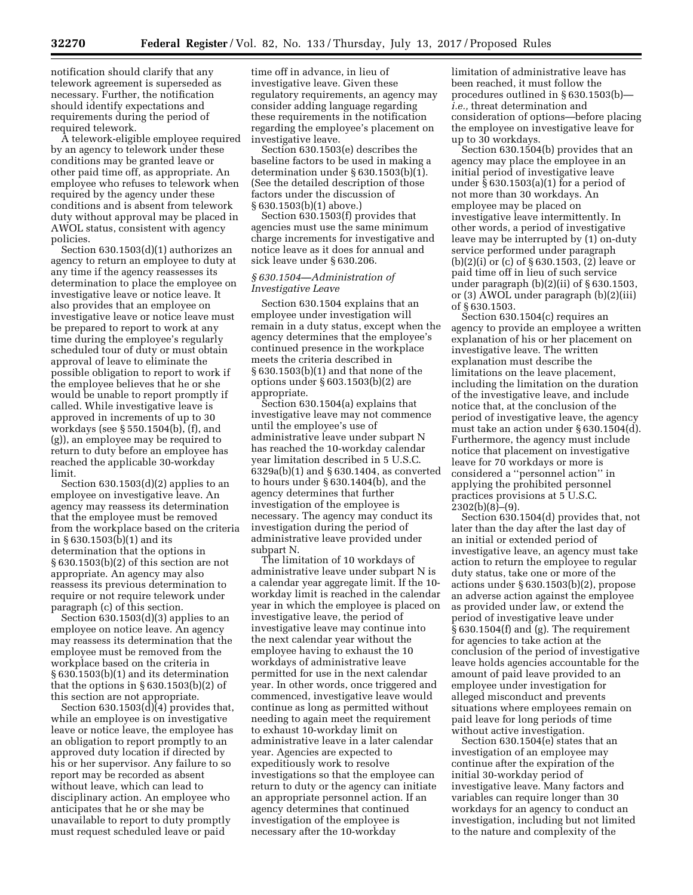notification should clarify that any telework agreement is superseded as necessary. Further, the notification should identify expectations and requirements during the period of required telework.

A telework-eligible employee required by an agency to telework under these conditions may be granted leave or other paid time off, as appropriate. An employee who refuses to telework when required by the agency under these conditions and is absent from telework duty without approval may be placed in AWOL status, consistent with agency policies.

Section 630.1503(d)(1) authorizes an agency to return an employee to duty at any time if the agency reassesses its determination to place the employee on investigative leave or notice leave. It also provides that an employee on investigative leave or notice leave must be prepared to report to work at any time during the employee's regularly scheduled tour of duty or must obtain approval of leave to eliminate the possible obligation to report to work if the employee believes that he or she would be unable to report promptly if called. While investigative leave is approved in increments of up to 30 workdays (see § 550.1504(b), (f), and (g)), an employee may be required to return to duty before an employee has reached the applicable 30-workday limit.

Section  $630.1503(d)(2)$  applies to an employee on investigative leave. An agency may reassess its determination that the employee must be removed from the workplace based on the criteria in § 630.1503(b)(1) and its determination that the options in § 630.1503(b)(2) of this section are not appropriate. An agency may also reassess its previous determination to require or not require telework under paragraph (c) of this section.

Section  $630.1503(d)(3)$  applies to an employee on notice leave. An agency may reassess its determination that the employee must be removed from the workplace based on the criteria in § 630.1503(b)(1) and its determination that the options in  $\S 630.1503(b)(2)$  of this section are not appropriate.

Section  $630.1503(d)(4)$  provides that, while an employee is on investigative leave or notice leave, the employee has an obligation to report promptly to an approved duty location if directed by his or her supervisor. Any failure to so report may be recorded as absent without leave, which can lead to disciplinary action. An employee who anticipates that he or she may be unavailable to report to duty promptly must request scheduled leave or paid

time off in advance, in lieu of investigative leave. Given these regulatory requirements, an agency may consider adding language regarding these requirements in the notification regarding the employee's placement on investigative leave.

Section 630.1503(e) describes the baseline factors to be used in making a determination under § 630.1503(b)(1). (See the detailed description of those factors under the discussion of § 630.1503(b)(1) above.)

Section 630.1503(f) provides that agencies must use the same minimum charge increments for investigative and notice leave as it does for annual and sick leave under § 630.206.

# *§ 630.1504—Administration of Investigative Leave*

Section 630.1504 explains that an employee under investigation will remain in a duty status, except when the agency determines that the employee's continued presence in the workplace meets the criteria described in § 630.1503(b)(1) and that none of the options under § 603.1503(b)(2) are appropriate.

Section 630.1504(a) explains that investigative leave may not commence until the employee's use of administrative leave under subpart N has reached the 10-workday calendar year limitation described in 5 U.S.C. 6329a(b)(1) and § 630.1404, as converted to hours under § 630.1404(b), and the agency determines that further investigation of the employee is necessary. The agency may conduct its investigation during the period of administrative leave provided under subpart N.

The limitation of 10 workdays of administrative leave under subpart N is a calendar year aggregate limit. If the 10 workday limit is reached in the calendar year in which the employee is placed on investigative leave, the period of investigative leave may continue into the next calendar year without the employee having to exhaust the 10 workdays of administrative leave permitted for use in the next calendar year. In other words, once triggered and commenced, investigative leave would continue as long as permitted without needing to again meet the requirement to exhaust 10-workday limit on administrative leave in a later calendar year. Agencies are expected to expeditiously work to resolve investigations so that the employee can return to duty or the agency can initiate an appropriate personnel action. If an agency determines that continued investigation of the employee is necessary after the 10-workday

limitation of administrative leave has been reached, it must follow the procedures outlined in § 630.1503(b) *i.e.,* threat determination and consideration of options—before placing the employee on investigative leave for up to 30 workdays.

Section 630.1504(b) provides that an agency may place the employee in an initial period of investigative leave under § 630.1503(a)(1) for a period of not more than 30 workdays. An employee may be placed on investigative leave intermittently. In other words, a period of investigative leave may be interrupted by (1) on-duty service performed under paragraph (b)(2)(i) or (c) of § 630.1503, (2) leave or paid time off in lieu of such service under paragraph  $(b)(2)(ii)$  of  $§ 630.1503$ , or (3) AWOL under paragraph (b)(2)(iii) of § 630.1503.

Section 630.1504(c) requires an agency to provide an employee a written explanation of his or her placement on investigative leave. The written explanation must describe the limitations on the leave placement, including the limitation on the duration of the investigative leave, and include notice that, at the conclusion of the period of investigative leave, the agency must take an action under § 630.1504(d). Furthermore, the agency must include notice that placement on investigative leave for 70 workdays or more is considered a ''personnel action'' in applying the prohibited personnel practices provisions at 5 U.S.C. 2302(b)(8)–(9).

Section 630.1504(d) provides that, not later than the day after the last day of an initial or extended period of investigative leave, an agency must take action to return the employee to regular duty status, take one or more of the actions under § 630.1503(b)(2), propose an adverse action against the employee as provided under law, or extend the period of investigative leave under § 630.1504(f) and (g). The requirement for agencies to take action at the conclusion of the period of investigative leave holds agencies accountable for the amount of paid leave provided to an employee under investigation for alleged misconduct and prevents situations where employees remain on paid leave for long periods of time without active investigation.

Section 630.1504(e) states that an investigation of an employee may continue after the expiration of the initial 30-workday period of investigative leave. Many factors and variables can require longer than 30 workdays for an agency to conduct an investigation, including but not limited to the nature and complexity of the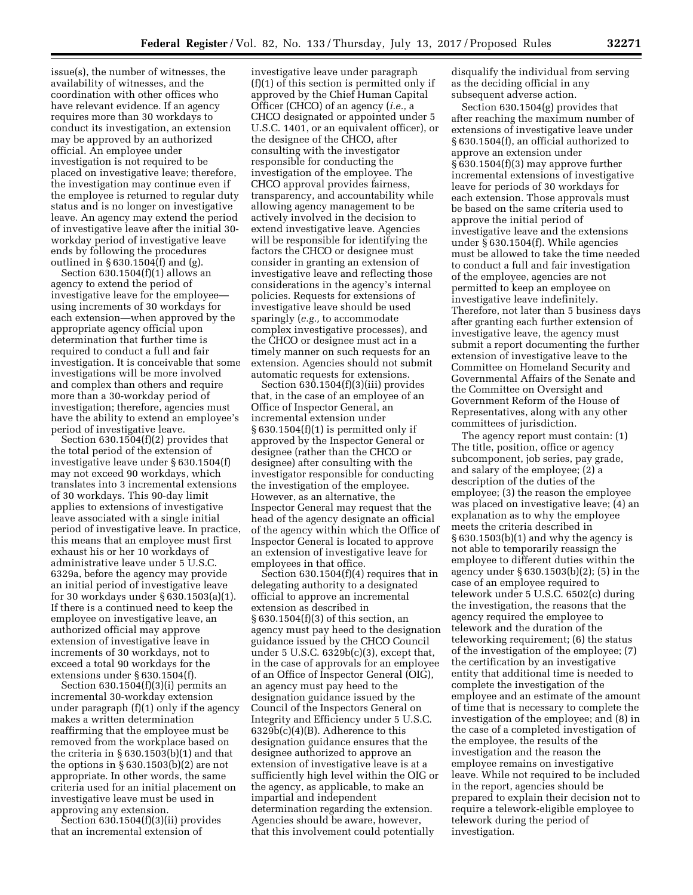issue(s), the number of witnesses, the availability of witnesses, and the coordination with other offices who have relevant evidence. If an agency requires more than 30 workdays to conduct its investigation, an extension may be approved by an authorized official. An employee under investigation is not required to be placed on investigative leave; therefore, the investigation may continue even if the employee is returned to regular duty status and is no longer on investigative leave. An agency may extend the period of investigative leave after the initial 30 workday period of investigative leave ends by following the procedures outlined in  $\S 630.1504(f)$  and (g).

Section 630.1504(f)(1) allows an agency to extend the period of investigative leave for the employee using increments of 30 workdays for each extension—when approved by the appropriate agency official upon determination that further time is required to conduct a full and fair investigation. It is conceivable that some investigations will be more involved and complex than others and require more than a 30-workday period of investigation; therefore, agencies must have the ability to extend an employee's period of investigative leave.

Section 630.1504(f)(2) provides that the total period of the extension of investigative leave under § 630.1504(f) may not exceed 90 workdays, which translates into 3 incremental extensions of 30 workdays. This 90-day limit applies to extensions of investigative leave associated with a single initial period of investigative leave. In practice, this means that an employee must first exhaust his or her 10 workdays of administrative leave under 5 U.S.C. 6329a, before the agency may provide an initial period of investigative leave for 30 workdays under § 630.1503(a)(1). If there is a continued need to keep the employee on investigative leave, an authorized official may approve extension of investigative leave in increments of 30 workdays, not to exceed a total 90 workdays for the extensions under § 630.1504(f).

Section  $630.1504(f)(3)(i)$  permits an incremental 30-workday extension under paragraph (f)(1) only if the agency makes a written determination reaffirming that the employee must be removed from the workplace based on the criteria in § 630.1503(b)(1) and that the options in  $\S 630.1503(b)(2)$  are not appropriate. In other words, the same criteria used for an initial placement on investigative leave must be used in approving any extension.

Section 630.1504(f)(3)(ii) provides that an incremental extension of

investigative leave under paragraph (f)(1) of this section is permitted only if approved by the Chief Human Capital Officer (CHCO) of an agency (*i.e.,* a CHCO designated or appointed under 5 U.S.C. 1401, or an equivalent officer), or the designee of the CHCO, after consulting with the investigator responsible for conducting the investigation of the employee. The CHCO approval provides fairness, transparency, and accountability while allowing agency management to be actively involved in the decision to extend investigative leave. Agencies will be responsible for identifying the factors the CHCO or designee must consider in granting an extension of investigative leave and reflecting those considerations in the agency's internal policies. Requests for extensions of investigative leave should be used sparingly (*e.g.,* to accommodate complex investigative processes), and the CHCO or designee must act in a timely manner on such requests for an extension. Agencies should not submit automatic requests for extensions.

Section 630.1504(f)(3)(iii) provides that, in the case of an employee of an Office of Inspector General, an incremental extension under § 630.1504(f)(1) is permitted only if approved by the Inspector General or designee (rather than the CHCO or designee) after consulting with the investigator responsible for conducting the investigation of the employee. However, as an alternative, the Inspector General may request that the head of the agency designate an official of the agency within which the Office of Inspector General is located to approve an extension of investigative leave for employees in that office.

Section 630.1504(f)(4) requires that in delegating authority to a designated official to approve an incremental extension as described in § 630.1504(f)(3) of this section, an agency must pay heed to the designation guidance issued by the CHCO Council under 5 U.S.C. 6329b(c)(3), except that, in the case of approvals for an employee of an Office of Inspector General (OIG), an agency must pay heed to the designation guidance issued by the Council of the Inspectors General on Integrity and Efficiency under 5 U.S.C. 6329b(c)(4)(B). Adherence to this designation guidance ensures that the designee authorized to approve an extension of investigative leave is at a sufficiently high level within the OIG or the agency, as applicable, to make an impartial and independent determination regarding the extension. Agencies should be aware, however, that this involvement could potentially

disqualify the individual from serving as the deciding official in any subsequent adverse action.

Section 630.1504(g) provides that after reaching the maximum number of extensions of investigative leave under § 630.1504(f), an official authorized to approve an extension under § 630.1504(f)(3) may approve further incremental extensions of investigative leave for periods of 30 workdays for each extension. Those approvals must be based on the same criteria used to approve the initial period of investigative leave and the extensions under § 630.1504(f). While agencies must be allowed to take the time needed to conduct a full and fair investigation of the employee, agencies are not permitted to keep an employee on investigative leave indefinitely. Therefore, not later than 5 business days after granting each further extension of investigative leave, the agency must submit a report documenting the further extension of investigative leave to the Committee on Homeland Security and Governmental Affairs of the Senate and the Committee on Oversight and Government Reform of the House of Representatives, along with any other committees of jurisdiction.

The agency report must contain: (1) The title, position, office or agency subcomponent, job series, pay grade, and salary of the employee; (2) a description of the duties of the employee; (3) the reason the employee was placed on investigative leave; (4) an explanation as to why the employee meets the criteria described in § 630.1503(b)(1) and why the agency is not able to temporarily reassign the employee to different duties within the agency under § 630.1503(b)(2); (5) in the case of an employee required to telework under 5 U.S.C. 6502(c) during the investigation, the reasons that the agency required the employee to telework and the duration of the teleworking requirement; (6) the status of the investigation of the employee; (7) the certification by an investigative entity that additional time is needed to complete the investigation of the employee and an estimate of the amount of time that is necessary to complete the investigation of the employee; and (8) in the case of a completed investigation of the employee, the results of the investigation and the reason the employee remains on investigative leave. While not required to be included in the report, agencies should be prepared to explain their decision not to require a telework-eligible employee to telework during the period of investigation.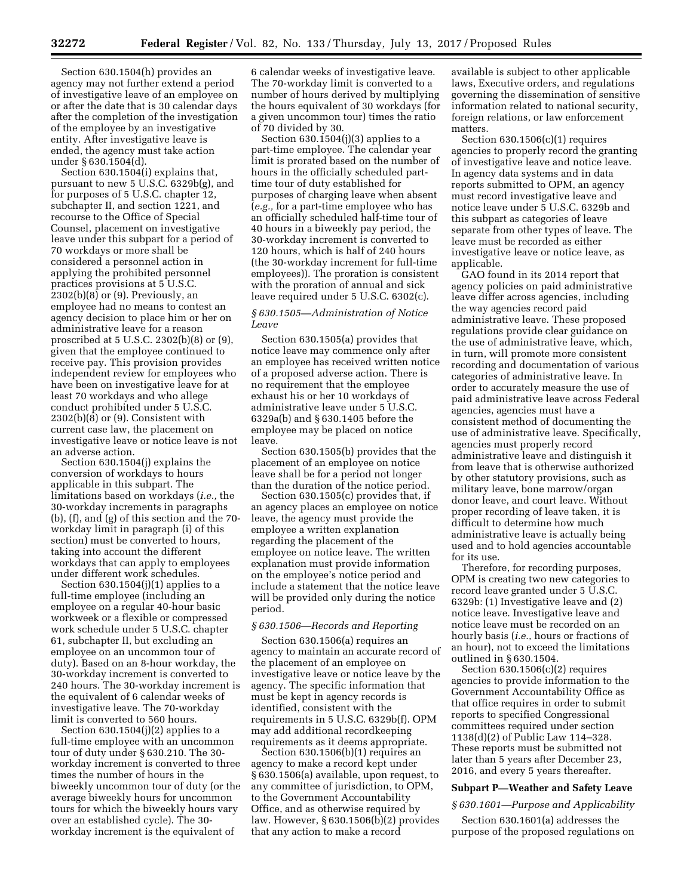Section 630.1504(h) provides an agency may not further extend a period of investigative leave of an employee on or after the date that is 30 calendar days after the completion of the investigation of the employee by an investigative entity. After investigative leave is ended, the agency must take action under § 630.1504(d).

Section 630.1504(i) explains that, pursuant to new 5 U.S.C. 6329b(g), and for purposes of 5 U.S.C. chapter 12, subchapter II, and section 1221, and recourse to the Office of Special Counsel, placement on investigative leave under this subpart for a period of 70 workdays or more shall be considered a personnel action in applying the prohibited personnel practices provisions at 5 U.S.C.  $2302(b)(8)$  or  $(9)$ . Previously, an employee had no means to contest an agency decision to place him or her on administrative leave for a reason proscribed at 5 U.S.C. 2302(b)(8) or (9), given that the employee continued to receive pay. This provision provides independent review for employees who have been on investigative leave for at least 70 workdays and who allege conduct prohibited under 5 U.S.C. 2302(b)(8) or (9). Consistent with current case law, the placement on investigative leave or notice leave is not an adverse action.

Section 630.1504(j) explains the conversion of workdays to hours applicable in this subpart. The limitations based on workdays (*i.e.,* the 30-workday increments in paragraphs (b), (f), and (g) of this section and the 70 workday limit in paragraph (i) of this section) must be converted to hours, taking into account the different workdays that can apply to employees under different work schedules.

Section  $630.1504(j)(1)$  applies to a full-time employee (including an employee on a regular 40-hour basic workweek or a flexible or compressed work schedule under 5 U.S.C. chapter 61, subchapter II, but excluding an employee on an uncommon tour of duty). Based on an 8-hour workday, the 30-workday increment is converted to 240 hours. The 30-workday increment is the equivalent of 6 calendar weeks of investigative leave. The 70-workday limit is converted to 560 hours.

Section  $630.1504(j)(2)$  applies to a full-time employee with an uncommon tour of duty under § 630.210. The 30 workday increment is converted to three times the number of hours in the biweekly uncommon tour of duty (or the average biweekly hours for uncommon tours for which the biweekly hours vary over an established cycle). The 30 workday increment is the equivalent of

6 calendar weeks of investigative leave. The 70-workday limit is converted to a number of hours derived by multiplying the hours equivalent of 30 workdays (for a given uncommon tour) times the ratio of 70 divided by 30.

Section 630.1504(j)(3) applies to a part-time employee. The calendar year limit is prorated based on the number of hours in the officially scheduled parttime tour of duty established for purposes of charging leave when absent (*e.g.,* for a part-time employee who has an officially scheduled half-time tour of 40 hours in a biweekly pay period, the 30-workday increment is converted to 120 hours, which is half of 240 hours (the 30-workday increment for full-time employees)). The proration is consistent with the proration of annual and sick leave required under 5 U.S.C. 6302(c).

# *§ 630.1505—Administration of Notice Leave*

Section 630.1505(a) provides that notice leave may commence only after an employee has received written notice of a proposed adverse action. There is no requirement that the employee exhaust his or her 10 workdays of administrative leave under 5 U.S.C. 6329a(b) and § 630.1405 before the employee may be placed on notice leave.

Section 630.1505(b) provides that the placement of an employee on notice leave shall be for a period not longer than the duration of the notice period.

Section 630.1505(c) provides that, if an agency places an employee on notice leave, the agency must provide the employee a written explanation regarding the placement of the employee on notice leave. The written explanation must provide information on the employee's notice period and include a statement that the notice leave will be provided only during the notice period.

# *§ 630.1506—Records and Reporting*

Section 630.1506(a) requires an agency to maintain an accurate record of the placement of an employee on investigative leave or notice leave by the agency. The specific information that must be kept in agency records is identified, consistent with the requirements in 5 U.S.C. 6329b(f). OPM may add additional recordkeeping requirements as it deems appropriate.

Section 630.1506(b)(1) requires an agency to make a record kept under § 630.1506(a) available, upon request, to any committee of jurisdiction, to OPM, to the Government Accountability Office, and as otherwise required by law. However, § 630.1506(b)(2) provides that any action to make a record

available is subject to other applicable laws, Executive orders, and regulations governing the dissemination of sensitive information related to national security, foreign relations, or law enforcement matters.

Section 630.1506(c)(1) requires agencies to properly record the granting of investigative leave and notice leave. In agency data systems and in data reports submitted to OPM, an agency must record investigative leave and notice leave under 5 U.S.C. 6329b and this subpart as categories of leave separate from other types of leave. The leave must be recorded as either investigative leave or notice leave, as applicable.

GAO found in its 2014 report that agency policies on paid administrative leave differ across agencies, including the way agencies record paid administrative leave. These proposed regulations provide clear guidance on the use of administrative leave, which, in turn, will promote more consistent recording and documentation of various categories of administrative leave. In order to accurately measure the use of paid administrative leave across Federal agencies, agencies must have a consistent method of documenting the use of administrative leave. Specifically, agencies must properly record administrative leave and distinguish it from leave that is otherwise authorized by other statutory provisions, such as military leave, bone marrow/organ donor leave, and court leave. Without proper recording of leave taken, it is difficult to determine how much administrative leave is actually being used and to hold agencies accountable for its use.

Therefore, for recording purposes, OPM is creating two new categories to record leave granted under 5 U.S.C. 6329b: (1) Investigative leave and (2) notice leave. Investigative leave and notice leave must be recorded on an hourly basis (*i.e.,* hours or fractions of an hour), not to exceed the limitations outlined in § 630.1504.

Section 630.1506(c)(2) requires agencies to provide information to the Government Accountability Office as that office requires in order to submit reports to specified Congressional committees required under section 1138(d)(2) of Public Law 114–328. These reports must be submitted not later than 5 years after December 23, 2016, and every 5 years thereafter.

#### **Subpart P—Weather and Safety Leave**

### *§ 630.1601—Purpose and Applicability*

Section 630.1601(a) addresses the purpose of the proposed regulations on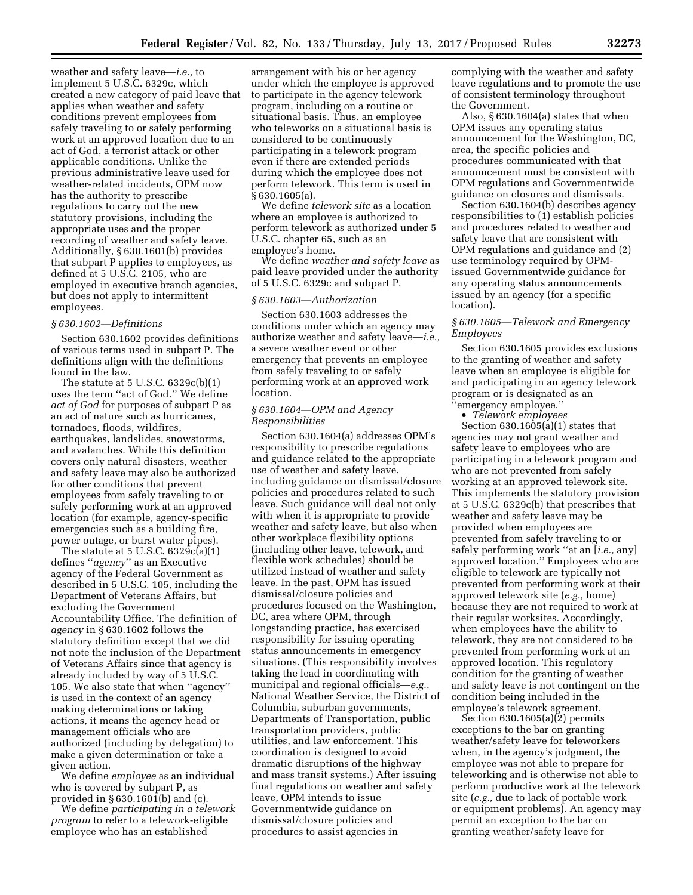weather and safety leave—*i.e.,* to implement 5 U.S.C. 6329c, which created a new category of paid leave that applies when weather and safety conditions prevent employees from safely traveling to or safely performing work at an approved location due to an act of God, a terrorist attack or other applicable conditions. Unlike the previous administrative leave used for weather-related incidents, OPM now has the authority to prescribe regulations to carry out the new statutory provisions, including the appropriate uses and the proper recording of weather and safety leave. Additionally, § 630.1601(b) provides that subpart P applies to employees, as defined at 5 U.S.C. 2105, who are employed in executive branch agencies, but does not apply to intermittent employees.

### *§ 630.1602—Definitions*

Section 630.1602 provides definitions of various terms used in subpart P. The definitions align with the definitions found in the law.

The statute at 5 U.S.C. 6329c(b)(1) uses the term ''act of God.'' We define *act of God* for purposes of subpart P as an act of nature such as hurricanes, tornadoes, floods, wildfires, earthquakes, landslides, snowstorms, and avalanches. While this definition covers only natural disasters, weather and safety leave may also be authorized for other conditions that prevent employees from safely traveling to or safely performing work at an approved location (for example, agency-specific emergencies such as a building fire, power outage, or burst water pipes).

The statute at  $5$  U.S.C.  $6329c(a)(1)$ defines ''*agency*'' as an Executive agency of the Federal Government as described in 5 U.S.C. 105, including the Department of Veterans Affairs, but excluding the Government Accountability Office. The definition of *agency* in § 630.1602 follows the statutory definition except that we did not note the inclusion of the Department of Veterans Affairs since that agency is already included by way of 5 U.S.C. 105. We also state that when ''agency'' is used in the context of an agency making determinations or taking actions, it means the agency head or management officials who are authorized (including by delegation) to make a given determination or take a given action.

We define *employee* as an individual who is covered by subpart P, as provided in § 630.1601(b) and (c).

We define *participating in a telework program* to refer to a telework-eligible employee who has an established

arrangement with his or her agency under which the employee is approved to participate in the agency telework program, including on a routine or situational basis. Thus, an employee who teleworks on a situational basis is considered to be continuously participating in a telework program even if there are extended periods during which the employee does not perform telework. This term is used in § 630.1605(a).

We define *telework site* as a location where an employee is authorized to perform telework as authorized under 5 U.S.C. chapter 65, such as an employee's home.

We define *weather and safety leave* as paid leave provided under the authority of 5 U.S.C. 6329c and subpart P.

#### *§ 630.1603—Authorization*

Section 630.1603 addresses the conditions under which an agency may authorize weather and safety leave—*i.e.,*  a severe weather event or other emergency that prevents an employee from safely traveling to or safely performing work at an approved work location.

# *§ 630.1604—OPM and Agency Responsibilities*

Section 630.1604(a) addresses OPM's responsibility to prescribe regulations and guidance related to the appropriate use of weather and safety leave, including guidance on dismissal/closure policies and procedures related to such leave. Such guidance will deal not only with when it is appropriate to provide weather and safety leave, but also when other workplace flexibility options (including other leave, telework, and flexible work schedules) should be utilized instead of weather and safety leave. In the past, OPM has issued dismissal/closure policies and procedures focused on the Washington, DC, area where OPM, through longstanding practice, has exercised responsibility for issuing operating status announcements in emergency situations. (This responsibility involves taking the lead in coordinating with municipal and regional officials—*e.g.,*  National Weather Service, the District of Columbia, suburban governments, Departments of Transportation, public transportation providers, public utilities, and law enforcement. This coordination is designed to avoid dramatic disruptions of the highway and mass transit systems.) After issuing final regulations on weather and safety leave, OPM intends to issue Governmentwide guidance on dismissal/closure policies and procedures to assist agencies in

complying with the weather and safety leave regulations and to promote the use of consistent terminology throughout the Government.

Also, § 630.1604(a) states that when OPM issues any operating status announcement for the Washington, DC, area, the specific policies and procedures communicated with that announcement must be consistent with OPM regulations and Governmentwide guidance on closures and dismissals.

Section 630.1604(b) describes agency responsibilities to (1) establish policies and procedures related to weather and safety leave that are consistent with OPM regulations and guidance and (2) use terminology required by OPMissued Governmentwide guidance for any operating status announcements issued by an agency (for a specific location).

# *§ 630.1605—Telework and Emergency Employees*

Section 630.1605 provides exclusions to the granting of weather and safety leave when an employee is eligible for and participating in an agency telework program or is designated as an ''emergency employee.''

• *Telework employees* 

Section 630.1605(a)(1) states that agencies may not grant weather and safety leave to employees who are participating in a telework program and who are not prevented from safely working at an approved telework site. This implements the statutory provision at 5 U.S.C. 6329c(b) that prescribes that weather and safety leave may be provided when employees are prevented from safely traveling to or safely performing work ''at an [*i.e.,* any] approved location.'' Employees who are eligible to telework are typically not prevented from performing work at their approved telework site (*e.g.,* home) because they are not required to work at their regular worksites. Accordingly, when employees have the ability to telework, they are not considered to be prevented from performing work at an approved location. This regulatory condition for the granting of weather and safety leave is not contingent on the condition being included in the employee's telework agreement.

Section  $630.1605(a)(2)$  permits exceptions to the bar on granting weather/safety leave for teleworkers when, in the agency's judgment, the employee was not able to prepare for teleworking and is otherwise not able to perform productive work at the telework site (*e.g.,* due to lack of portable work or equipment problems). An agency may permit an exception to the bar on granting weather/safety leave for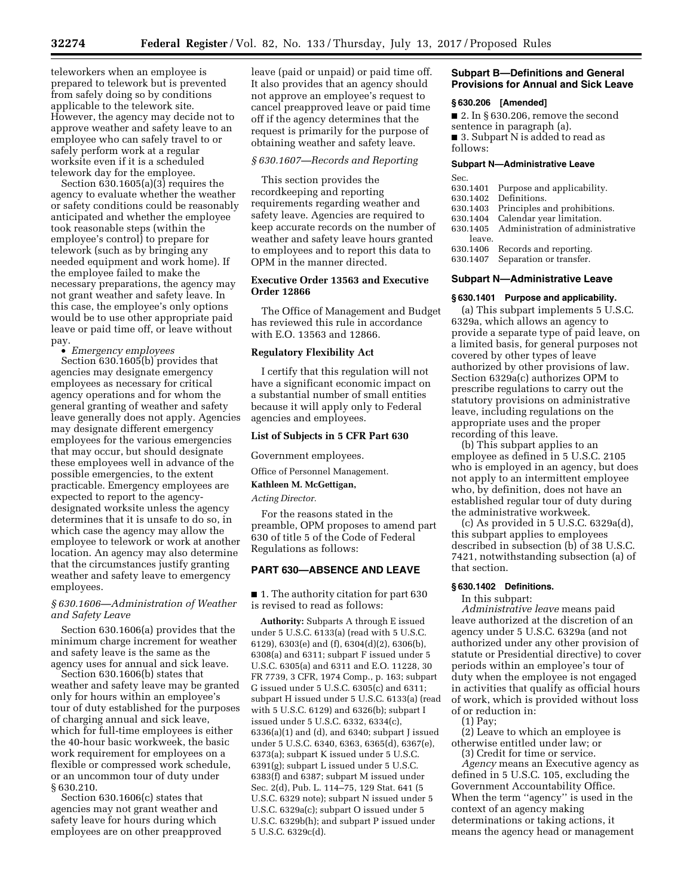teleworkers when an employee is prepared to telework but is prevented from safely doing so by conditions applicable to the telework site. However, the agency may decide not to approve weather and safety leave to an employee who can safely travel to or safely perform work at a regular worksite even if it is a scheduled telework day for the employee.

Section  $630.1605(a)(3)$  requires the agency to evaluate whether the weather or safety conditions could be reasonably anticipated and whether the employee took reasonable steps (within the employee's control) to prepare for telework (such as by bringing any needed equipment and work home). If the employee failed to make the necessary preparations, the agency may not grant weather and safety leave. In this case, the employee's only options would be to use other appropriate paid leave or paid time off, or leave without pay.

• *Emergency employees* 

Section 630.1605(b) provides that agencies may designate emergency employees as necessary for critical agency operations and for whom the general granting of weather and safety leave generally does not apply. Agencies may designate different emergency employees for the various emergencies that may occur, but should designate these employees well in advance of the possible emergencies, to the extent practicable. Emergency employees are expected to report to the agencydesignated worksite unless the agency determines that it is unsafe to do so, in which case the agency may allow the employee to telework or work at another location. An agency may also determine that the circumstances justify granting weather and safety leave to emergency employees.

# *§ 630.1606—Administration of Weather and Safety Leave*

Section 630.1606(a) provides that the minimum charge increment for weather and safety leave is the same as the agency uses for annual and sick leave.

Section 630.1606(b) states that weather and safety leave may be granted only for hours within an employee's tour of duty established for the purposes of charging annual and sick leave, which for full-time employees is either the 40-hour basic workweek, the basic work requirement for employees on a flexible or compressed work schedule, or an uncommon tour of duty under § 630.210.

Section 630.1606(c) states that agencies may not grant weather and safety leave for hours during which employees are on other preapproved leave (paid or unpaid) or paid time off. It also provides that an agency should not approve an employee's request to cancel preapproved leave or paid time off if the agency determines that the request is primarily for the purpose of obtaining weather and safety leave.

# *§ 630.1607—Records and Reporting*

This section provides the recordkeeping and reporting requirements regarding weather and safety leave. Agencies are required to keep accurate records on the number of weather and safety leave hours granted to employees and to report this data to OPM in the manner directed.

# **Executive Order 13563 and Executive Order 12866**

The Office of Management and Budget has reviewed this rule in accordance with E.O. 13563 and 12866.

# **Regulatory Flexibility Act**

I certify that this regulation will not have a significant economic impact on a substantial number of small entities because it will apply only to Federal agencies and employees.

#### **List of Subjects in 5 CFR Part 630**

Government employees.

Office of Personnel Management.

**Kathleen M. McGettigan,** 

*Acting Director.* 

For the reasons stated in the preamble, OPM proposes to amend part 630 of title 5 of the Code of Federal Regulations as follows:

# **PART 630—ABSENCE AND LEAVE**

■ 1. The authority citation for part 630 is revised to read as follows:

**Authority:** Subparts A through E issued under 5 U.S.C. 6133(a) (read with 5 U.S.C. 6129), 6303(e) and (f), 6304(d)(2), 6306(b), 6308(a) and 6311; subpart F issued under 5 U.S.C. 6305(a) and 6311 and E.O. 11228, 30 FR 7739, 3 CFR, 1974 Comp., p. 163; subpart G issued under 5 U.S.C. 6305(c) and 6311; subpart H issued under 5 U.S.C. 6133(a) (read with 5 U.S.C. 6129) and 6326(b); subpart I issued under 5 U.S.C. 6332, 6334(c), 6336(a)(1) and (d), and 6340; subpart J issued under 5 U.S.C. 6340, 6363, 6365(d), 6367(e), 6373(a); subpart K issued under 5 U.S.C. 6391(g); subpart L issued under 5 U.S.C. 6383(f) and 6387; subpart M issued under Sec. 2(d), Pub. L. 114–75, 129 Stat. 641 (5 U.S.C. 6329 note); subpart N issued under 5 U.S.C. 6329a(c); subpart O issued under 5 U.S.C. 6329b(h); and subpart P issued under 5 U.S.C. 6329c(d).

# **Subpart B—Definitions and General Provisions for Annual and Sick Leave**

#### **§ 630.206 [Amended]**

- $\blacksquare$  2. In § 630.206, remove the second sentence in paragraph (a).
- 3. Subpart N is added to read as follows:

#### **Subpart N—Administrative Leave**

| Sec.     |                                  |
|----------|----------------------------------|
| 630.1401 | Purpose and applicability.       |
| 630.1402 | Definitions.                     |
| 630.1403 | Principles and prohibitions.     |
| 630.1404 | Calendar year limitation.        |
| 630.1405 | Administration of administrative |
| leave.   |                                  |
|          | 630.1406 Records and reporting.  |
| 630.1407 | Separation or transfer.          |
|          |                                  |

### **Subpart N—Administrative Leave**

## **§ 630.1401 Purpose and applicability.**

(a) This subpart implements 5 U.S.C. 6329a, which allows an agency to provide a separate type of paid leave, on a limited basis, for general purposes not covered by other types of leave authorized by other provisions of law. Section 6329a(c) authorizes OPM to prescribe regulations to carry out the statutory provisions on administrative leave, including regulations on the appropriate uses and the proper recording of this leave.

(b) This subpart applies to an employee as defined in 5 U.S.C. 2105 who is employed in an agency, but does not apply to an intermittent employee who, by definition, does not have an established regular tour of duty during the administrative workweek.

(c) As provided in 5 U.S.C. 6329a(d), this subpart applies to employees described in subsection (b) of 38 U.S.C. 7421, notwithstanding subsection (a) of that section.

### **§ 630.1402 Definitions.**

In this subpart:

*Administrative leave* means paid leave authorized at the discretion of an agency under 5 U.S.C. 6329a (and not authorized under any other provision of statute or Presidential directive) to cover periods within an employee's tour of duty when the employee is not engaged in activities that qualify as official hours of work, which is provided without loss of or reduction in:

(1) Pay;

(2) Leave to which an employee is otherwise entitled under law; or (3) Credit for time or service.

*Agency* means an Executive agency as defined in 5 U.S.C. 105, excluding the Government Accountability Office. When the term ''agency'' is used in the context of an agency making determinations or taking actions, it means the agency head or management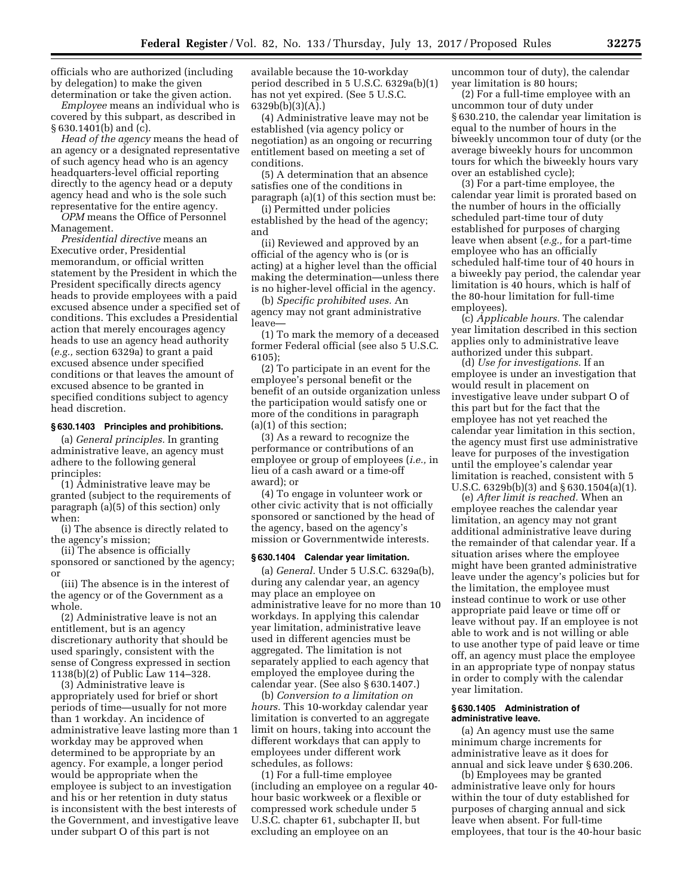officials who are authorized (including by delegation) to make the given determination or take the given action.

*Employee* means an individual who is covered by this subpart, as described in § 630.1401(b) and (c).

*Head of the agency* means the head of an agency or a designated representative of such agency head who is an agency headquarters-level official reporting directly to the agency head or a deputy agency head and who is the sole such representative for the entire agency.

*OPM* means the Office of Personnel Management.

*Presidential directive* means an Executive order, Presidential memorandum, or official written statement by the President in which the President specifically directs agency heads to provide employees with a paid excused absence under a specified set of conditions. This excludes a Presidential action that merely encourages agency heads to use an agency head authority (*e.g.,* section 6329a) to grant a paid excused absence under specified conditions or that leaves the amount of excused absence to be granted in specified conditions subject to agency head discretion.

# **§ 630.1403 Principles and prohibitions.**

(a) *General principles.* In granting administrative leave, an agency must adhere to the following general principles:

(1) Administrative leave may be granted (subject to the requirements of paragraph (a)(5) of this section) only when:

(i) The absence is directly related to the agency's mission;

(ii) The absence is officially

sponsored or sanctioned by the agency; or

(iii) The absence is in the interest of the agency or of the Government as a whole.

(2) Administrative leave is not an entitlement, but is an agency discretionary authority that should be used sparingly, consistent with the sense of Congress expressed in section 1138(b)(2) of Public Law 114–328.

(3) Administrative leave is appropriately used for brief or short periods of time—usually for not more than 1 workday. An incidence of administrative leave lasting more than 1 workday may be approved when determined to be appropriate by an agency. For example, a longer period would be appropriate when the employee is subject to an investigation and his or her retention in duty status is inconsistent with the best interests of the Government, and investigative leave under subpart O of this part is not

available because the 10-workday period described in 5 U.S.C. 6329a(b)(1) has not yet expired. (See 5 U.S.C. 6329b(b)(3)(A).)

(4) Administrative leave may not be established (via agency policy or negotiation) as an ongoing or recurring entitlement based on meeting a set of conditions.

(5) A determination that an absence satisfies one of the conditions in paragraph (a)(1) of this section must be:

(i) Permitted under policies established by the head of the agency; and

(ii) Reviewed and approved by an official of the agency who is (or is acting) at a higher level than the official making the determination—unless there is no higher-level official in the agency.

(b) *Specific prohibited uses.* An agency may not grant administrative leave—

(1) To mark the memory of a deceased former Federal official (see also 5 U.S.C. 6105);

(2) To participate in an event for the employee's personal benefit or the benefit of an outside organization unless the participation would satisfy one or more of the conditions in paragraph (a)(1) of this section;

(3) As a reward to recognize the performance or contributions of an employee or group of employees (*i.e.,* in lieu of a cash award or a time-off award); or

(4) To engage in volunteer work or other civic activity that is not officially sponsored or sanctioned by the head of the agency, based on the agency's mission or Governmentwide interests.

#### **§ 630.1404 Calendar year limitation.**

(a) *General.* Under 5 U.S.C. 6329a(b), during any calendar year, an agency may place an employee on administrative leave for no more than 10 workdays. In applying this calendar year limitation, administrative leave used in different agencies must be aggregated. The limitation is not separately applied to each agency that employed the employee during the calendar year. (See also § 630.1407.)

(b) *Conversion to a limitation on hours.* This 10-workday calendar year limitation is converted to an aggregate limit on hours, taking into account the different workdays that can apply to employees under different work schedules, as follows:

(1) For a full-time employee (including an employee on a regular 40 hour basic workweek or a flexible or compressed work schedule under 5 U.S.C. chapter 61, subchapter II, but excluding an employee on an

uncommon tour of duty), the calendar year limitation is 80 hours;

(2) For a full-time employee with an uncommon tour of duty under § 630.210, the calendar year limitation is equal to the number of hours in the biweekly uncommon tour of duty (or the average biweekly hours for uncommon tours for which the biweekly hours vary over an established cycle);

(3) For a part-time employee, the calendar year limit is prorated based on the number of hours in the officially scheduled part-time tour of duty established for purposes of charging leave when absent (*e.g.,* for a part-time employee who has an officially scheduled half-time tour of 40 hours in a biweekly pay period, the calendar year limitation is 40 hours, which is half of the 80-hour limitation for full-time employees).

(c) *Applicable hours.* The calendar year limitation described in this section applies only to administrative leave authorized under this subpart.

(d) *Use for investigations.* If an employee is under an investigation that would result in placement on investigative leave under subpart O of this part but for the fact that the employee has not yet reached the calendar year limitation in this section, the agency must first use administrative leave for purposes of the investigation until the employee's calendar year limitation is reached, consistent with 5 U.S.C. 6329b(b)(3) and § 630.1504(a)(1).

(e) *After limit is reached.* When an employee reaches the calendar year limitation, an agency may not grant additional administrative leave during the remainder of that calendar year. If a situation arises where the employee might have been granted administrative leave under the agency's policies but for the limitation, the employee must instead continue to work or use other appropriate paid leave or time off or leave without pay. If an employee is not able to work and is not willing or able to use another type of paid leave or time off, an agency must place the employee in an appropriate type of nonpay status in order to comply with the calendar year limitation.

### **§ 630.1405 Administration of administrative leave.**

(a) An agency must use the same minimum charge increments for administrative leave as it does for annual and sick leave under § 630.206.

(b) Employees may be granted administrative leave only for hours within the tour of duty established for purposes of charging annual and sick leave when absent. For full-time employees, that tour is the 40-hour basic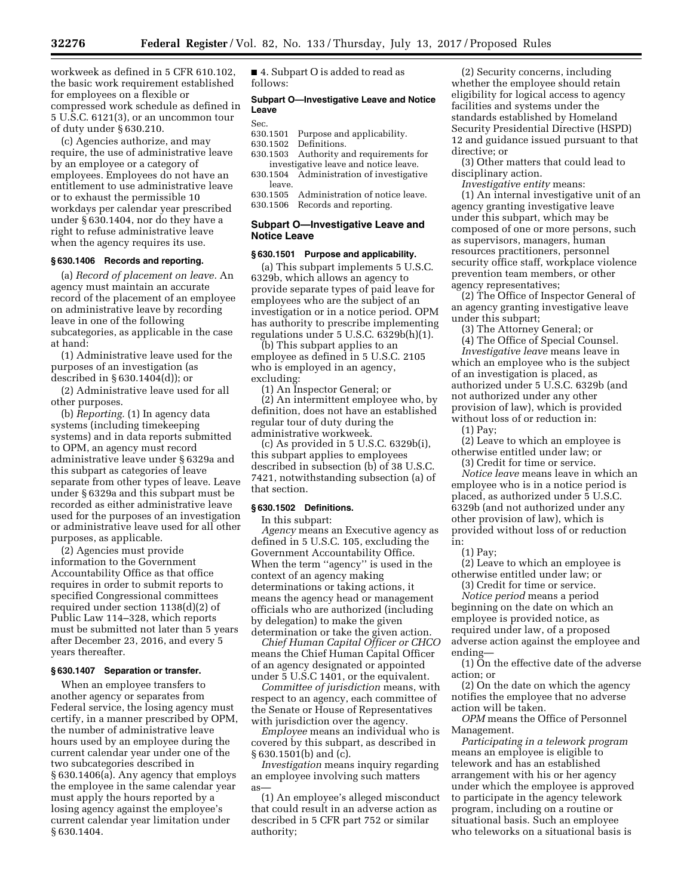workweek as defined in 5 CFR 610.102, the basic work requirement established for employees on a flexible or compressed work schedule as defined in 5 U.S.C. 6121(3), or an uncommon tour of duty under § 630.210.

(c) Agencies authorize, and may require, the use of administrative leave by an employee or a category of employees. Employees do not have an entitlement to use administrative leave or to exhaust the permissible 10 workdays per calendar year prescribed under § 630.1404, nor do they have a right to refuse administrative leave when the agency requires its use.

#### **§ 630.1406 Records and reporting.**

(a) *Record of placement on leave.* An agency must maintain an accurate record of the placement of an employee on administrative leave by recording leave in one of the following subcategories, as applicable in the case at hand:

(1) Administrative leave used for the purposes of an investigation (as described in § 630.1404(d)); or

(2) Administrative leave used for all other purposes.

(b) *Reporting.* (1) In agency data systems (including timekeeping systems) and in data reports submitted to OPM, an agency must record administrative leave under § 6329a and this subpart as categories of leave separate from other types of leave. Leave under § 6329a and this subpart must be recorded as either administrative leave used for the purposes of an investigation or administrative leave used for all other purposes, as applicable.

(2) Agencies must provide information to the Government Accountability Office as that office requires in order to submit reports to specified Congressional committees required under section 1138(d)(2) of Public Law 114–328, which reports must be submitted not later than 5 years after December 23, 2016, and every 5 years thereafter.

#### **§ 630.1407 Separation or transfer.**

When an employee transfers to another agency or separates from Federal service, the losing agency must certify, in a manner prescribed by OPM, the number of administrative leave hours used by an employee during the current calendar year under one of the two subcategories described in § 630.1406(a). Any agency that employs the employee in the same calendar year must apply the hours reported by a losing agency against the employee's current calendar year limitation under § 630.1404.

■ 4. Subpart O is added to read as follows:

### **Subpart O—Investigative Leave and Notice Leave**

#### Sec.

- 630.1501 Purpose and applicability.<br>630.1502 Definitions.
- 630.1502 Definitions.<br>630.1503 Authority a
- Authority and requirements for investigative leave and notice leave.
- 630.1504 Administration of investigative leave.
- 630.1505 Administration of notice leave. 630.1506 Records and reporting.

# **Subpart O—Investigative Leave and Notice Leave**

#### **§ 630.1501 Purpose and applicability.**

(a) This subpart implements 5 U.S.C. 6329b, which allows an agency to provide separate types of paid leave for employees who are the subject of an investigation or in a notice period. OPM has authority to prescribe implementing regulations under 5 U.S.C. 6329b(h)(1).

(b) This subpart applies to an employee as defined in 5 U.S.C. 2105 who is employed in an agency, excluding:

(1) An Inspector General; or

(2) An intermittent employee who, by definition, does not have an established regular tour of duty during the administrative workweek.

(c) As provided in 5 U.S.C. 6329b(i), this subpart applies to employees described in subsection (b) of 38 U.S.C. 7421, notwithstanding subsection (a) of that section.

### **§ 630.1502 Definitions.**

In this subpart:

*Agency* means an Executive agency as defined in 5 U.S.C. 105, excluding the Government Accountability Office. When the term ''agency'' is used in the context of an agency making determinations or taking actions, it means the agency head or management officials who are authorized (including by delegation) to make the given determination or take the given action.

*Chief Human Capital Officer or CHCO*  means the Chief Human Capital Officer of an agency designated or appointed under 5 U.S.C 1401, or the equivalent.

*Committee of jurisdiction* means, with respect to an agency, each committee of the Senate or House of Representatives with jurisdiction over the agency.

*Employee* means an individual who is covered by this subpart, as described in § 630.1501(b) and (c).

*Investigation* means inquiry regarding an employee involving such matters as—

(1) An employee's alleged misconduct that could result in an adverse action as described in 5 CFR part 752 or similar authority;

(2) Security concerns, including whether the employee should retain eligibility for logical access to agency facilities and systems under the standards established by Homeland Security Presidential Directive (HSPD) 12 and guidance issued pursuant to that directive; or

(3) Other matters that could lead to disciplinary action.

*Investigative entity* means:

(1) An internal investigative unit of an agency granting investigative leave under this subpart, which may be composed of one or more persons, such as supervisors, managers, human resources practitioners, personnel security office staff, workplace violence prevention team members, or other agency representatives;

(2) The Office of Inspector General of an agency granting investigative leave under this subpart;

(3) The Attorney General; or

(4) The Office of Special Counsel.

*Investigative leave* means leave in which an employee who is the subject of an investigation is placed, as authorized under 5 U.S.C. 6329b (and not authorized under any other provision of law), which is provided without loss of or reduction in:

(1) Pay;

(2) Leave to which an employee is otherwise entitled under law; or

(3) Credit for time or service. *Notice leave* means leave in which an employee who is in a notice period is placed, as authorized under 5 U.S.C. 6329b (and not authorized under any other provision of law), which is provided without loss of or reduction in:

(1) Pay;

(2) Leave to which an employee is otherwise entitled under law; or

(3) Credit for time or service.

*Notice period* means a period beginning on the date on which an employee is provided notice, as required under law, of a proposed adverse action against the employee and ending—

(1) On the effective date of the adverse action; or

(2) On the date on which the agency notifies the employee that no adverse action will be taken.

*OPM* means the Office of Personnel Management.

*Participating in a telework program*  means an employee is eligible to telework and has an established arrangement with his or her agency under which the employee is approved to participate in the agency telework program, including on a routine or situational basis. Such an employee who teleworks on a situational basis is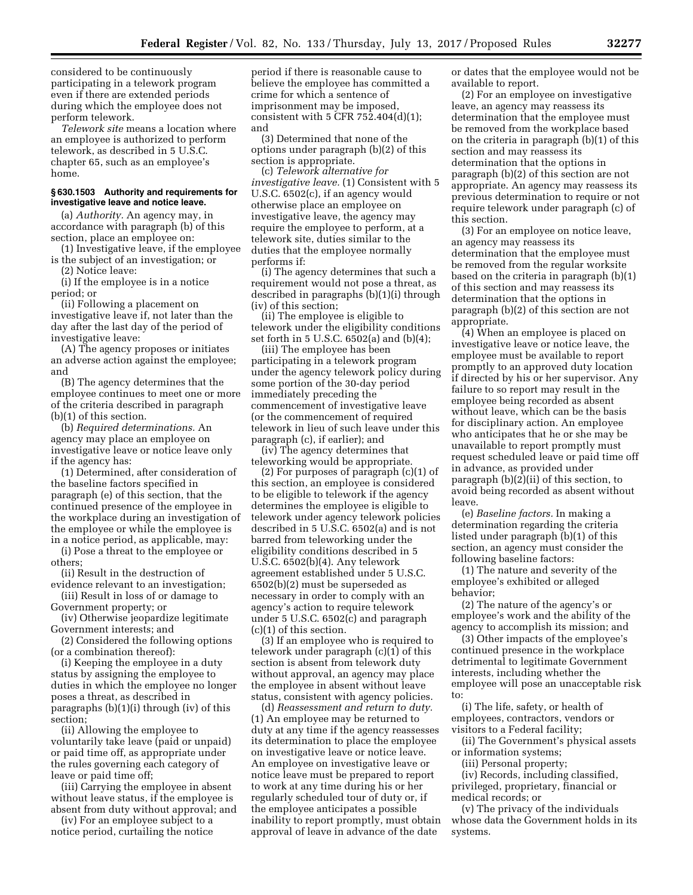considered to be continuously participating in a telework program even if there are extended periods during which the employee does not perform telework.

*Telework site* means a location where an employee is authorized to perform telework, as described in 5 U.S.C. chapter 65, such as an employee's home.

## **§ 630.1503 Authority and requirements for investigative leave and notice leave.**

(a) *Authority.* An agency may, in accordance with paragraph (b) of this section, place an employee on:

(1) Investigative leave, if the employee is the subject of an investigation; or

(2) Notice leave:

(i) If the employee is in a notice period; or

(ii) Following a placement on investigative leave if, not later than the day after the last day of the period of investigative leave:

(A) The agency proposes or initiates an adverse action against the employee; and

(B) The agency determines that the employee continues to meet one or more of the criteria described in paragraph (b)(1) of this section.

(b) *Required determinations.* An agency may place an employee on investigative leave or notice leave only if the agency has:

(1) Determined, after consideration of the baseline factors specified in paragraph (e) of this section, that the continued presence of the employee in the workplace during an investigation of the employee or while the employee is in a notice period, as applicable, may:

(i) Pose a threat to the employee or others;

(ii) Result in the destruction of evidence relevant to an investigation;

(iii) Result in loss of or damage to Government property; or

(iv) Otherwise jeopardize legitimate Government interests; and

(2) Considered the following options (or a combination thereof):

(i) Keeping the employee in a duty status by assigning the employee to duties in which the employee no longer poses a threat, as described in paragraphs (b)(1)(i) through (iv) of this section;

(ii) Allowing the employee to voluntarily take leave (paid or unpaid) or paid time off, as appropriate under the rules governing each category of leave or paid time off;

(iii) Carrying the employee in absent without leave status, if the employee is absent from duty without approval; and

(iv) For an employee subject to a notice period, curtailing the notice period if there is reasonable cause to believe the employee has committed a crime for which a sentence of imprisonment may be imposed, consistent with  $5$  CFR  $752.404(d)(1)$ ; and

(3) Determined that none of the options under paragraph (b)(2) of this section is appropriate.

(c) *Telework alternative for investigative leave.* (1) Consistent with 5 U.S.C. 6502(c), if an agency would otherwise place an employee on investigative leave, the agency may require the employee to perform, at a telework site, duties similar to the duties that the employee normally performs if:

(i) The agency determines that such a requirement would not pose a threat, as described in paragraphs (b)(1)(i) through (iv) of this section;

(ii) The employee is eligible to telework under the eligibility conditions set forth in 5 U.S.C. 6502(a) and (b)(4);

(iii) The employee has been participating in a telework program under the agency telework policy during some portion of the 30-day period immediately preceding the commencement of investigative leave (or the commencement of required telework in lieu of such leave under this paragraph (c), if earlier); and

(iv) The agency determines that teleworking would be appropriate.

(2) For purposes of paragraph (c)(1) of this section, an employee is considered to be eligible to telework if the agency determines the employee is eligible to telework under agency telework policies described in 5 U.S.C. 6502(a) and is not barred from teleworking under the eligibility conditions described in 5 U.S.C. 6502(b)(4). Any telework agreement established under 5 U.S.C. 6502(b)(2) must be superseded as necessary in order to comply with an agency's action to require telework under 5 U.S.C. 6502(c) and paragraph (c)(1) of this section.

(3) If an employee who is required to telework under paragraph (c)(1) of this section is absent from telework duty without approval, an agency may place the employee in absent without leave status, consistent with agency policies.

(d) *Reassessment and return to duty.*  (1) An employee may be returned to duty at any time if the agency reassesses its determination to place the employee on investigative leave or notice leave. An employee on investigative leave or notice leave must be prepared to report to work at any time during his or her regularly scheduled tour of duty or, if the employee anticipates a possible inability to report promptly, must obtain approval of leave in advance of the date

or dates that the employee would not be available to report.

(2) For an employee on investigative leave, an agency may reassess its determination that the employee must be removed from the workplace based on the criteria in paragraph (b)(1) of this section and may reassess its determination that the options in paragraph (b)(2) of this section are not appropriate. An agency may reassess its previous determination to require or not require telework under paragraph (c) of this section.

(3) For an employee on notice leave, an agency may reassess its determination that the employee must be removed from the regular worksite based on the criteria in paragraph (b)(1) of this section and may reassess its determination that the options in paragraph (b)(2) of this section are not appropriate.

(4) When an employee is placed on investigative leave or notice leave, the employee must be available to report promptly to an approved duty location if directed by his or her supervisor. Any failure to so report may result in the employee being recorded as absent without leave, which can be the basis for disciplinary action. An employee who anticipates that he or she may be unavailable to report promptly must request scheduled leave or paid time off in advance, as provided under paragraph (b)(2)(ii) of this section, to avoid being recorded as absent without leave.

(e) *Baseline factors.* In making a determination regarding the criteria listed under paragraph (b)(1) of this section, an agency must consider the following baseline factors:

(1) The nature and severity of the employee's exhibited or alleged behavior;

(2) The nature of the agency's or employee's work and the ability of the agency to accomplish its mission; and

(3) Other impacts of the employee's continued presence in the workplace detrimental to legitimate Government interests, including whether the employee will pose an unacceptable risk to:

(i) The life, safety, or health of employees, contractors, vendors or visitors to a Federal facility;

(ii) The Government's physical assets or information systems;

(iii) Personal property;

(iv) Records, including classified, privileged, proprietary, financial or medical records; or

(v) The privacy of the individuals whose data the Government holds in its systems.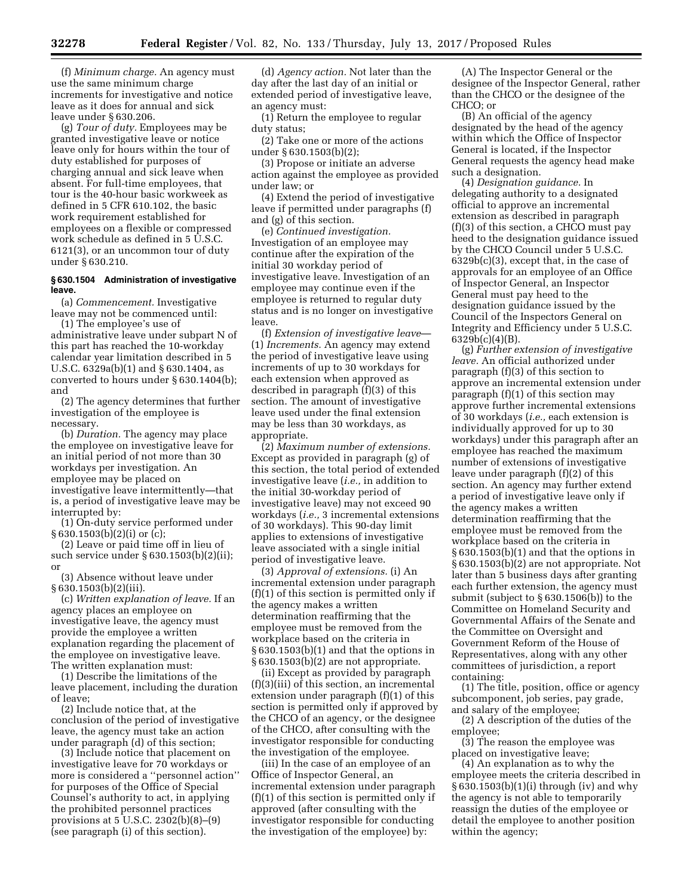(f) *Minimum charge.* An agency must use the same minimum charge increments for investigative and notice leave as it does for annual and sick leave under § 630.206.

(g) *Tour of duty.* Employees may be granted investigative leave or notice leave only for hours within the tour of duty established for purposes of charging annual and sick leave when absent. For full-time employees, that tour is the 40-hour basic workweek as defined in 5 CFR 610.102, the basic work requirement established for employees on a flexible or compressed work schedule as defined in 5 U.S.C. 6121(3), or an uncommon tour of duty under § 630.210.

### **§ 630.1504 Administration of investigative leave.**

(a) *Commencement.* Investigative leave may not be commenced until:

(1) The employee's use of administrative leave under subpart N of this part has reached the 10-workday calendar year limitation described in 5 U.S.C. 6329a(b)(1) and § 630.1404, as converted to hours under § 630.1404(b); and

(2) The agency determines that further investigation of the employee is necessary.

(b) *Duration.* The agency may place the employee on investigative leave for an initial period of not more than 30 workdays per investigation. An employee may be placed on investigative leave intermittently—that is, a period of investigative leave may be interrupted by:

(1) On-duty service performed under § 630.1503(b)(2)(i) or (c);

(2) Leave or paid time off in lieu of such service under § 630.1503(b)(2)(ii); or

(3) Absence without leave under § 630.1503(b)(2)(iii).

(c) *Written explanation of leave.* If an agency places an employee on investigative leave, the agency must provide the employee a written explanation regarding the placement of the employee on investigative leave. The written explanation must:

(1) Describe the limitations of the leave placement, including the duration of leave;

(2) Include notice that, at the conclusion of the period of investigative leave, the agency must take an action under paragraph (d) of this section;

(3) Include notice that placement on investigative leave for 70 workdays or more is considered a ''personnel action'' for purposes of the Office of Special Counsel's authority to act, in applying the prohibited personnel practices provisions at 5 U.S.C. 2302(b)(8)–(9) (see paragraph (i) of this section).

(d) *Agency action.* Not later than the day after the last day of an initial or extended period of investigative leave, an agency must:

(1) Return the employee to regular duty status;

(2) Take one or more of the actions under § 630.1503(b)(2);

(3) Propose or initiate an adverse action against the employee as provided under law; or

(4) Extend the period of investigative leave if permitted under paragraphs (f) and (g) of this section.

(e) *Continued investigation.*  Investigation of an employee may continue after the expiration of the initial 30 workday period of investigative leave. Investigation of an employee may continue even if the employee is returned to regular duty status and is no longer on investigative leave.

(f) *Extension of investigative leave*— (1) *Increments.* An agency may extend the period of investigative leave using increments of up to 30 workdays for each extension when approved as described in paragraph (f)(3) of this section. The amount of investigative leave used under the final extension may be less than 30 workdays, as appropriate.

(2) *Maximum number of extensions.*  Except as provided in paragraph (g) of this section, the total period of extended investigative leave (*i.e.,* in addition to the initial 30-workday period of investigative leave) may not exceed 90 workdays (*i.e.,* 3 incremental extensions of 30 workdays). This 90-day limit applies to extensions of investigative leave associated with a single initial period of investigative leave.

(3) *Approval of extensions.* (i) An incremental extension under paragraph (f)(1) of this section is permitted only if the agency makes a written determination reaffirming that the employee must be removed from the workplace based on the criteria in § 630.1503(b)(1) and that the options in § 630.1503(b)(2) are not appropriate.

(ii) Except as provided by paragraph (f)(3)(iii) of this section, an incremental extension under paragraph (f)(1) of this section is permitted only if approved by the CHCO of an agency, or the designee of the CHCO, after consulting with the investigator responsible for conducting the investigation of the employee.

(iii) In the case of an employee of an Office of Inspector General, an incremental extension under paragraph (f)(1) of this section is permitted only if approved (after consulting with the investigator responsible for conducting the investigation of the employee) by:

(A) The Inspector General or the designee of the Inspector General, rather than the CHCO or the designee of the CHCO; or

(B) An official of the agency designated by the head of the agency within which the Office of Inspector General is located, if the Inspector General requests the agency head make such a designation.

(4) *Designation guidance.* In delegating authority to a designated official to approve an incremental extension as described in paragraph (f)(3) of this section, a CHCO must pay heed to the designation guidance issued by the CHCO Council under 5 U.S.C. 6329b(c)(3), except that, in the case of approvals for an employee of an Office of Inspector General, an Inspector General must pay heed to the designation guidance issued by the Council of the Inspectors General on Integrity and Efficiency under 5 U.S.C. 6329b(c)(4)(B).

(g) *Further extension of investigative leave.* An official authorized under paragraph (f)(3) of this section to approve an incremental extension under paragraph (f)(1) of this section may approve further incremental extensions of 30 workdays (*i.e.,* each extension is individually approved for up to 30 workdays) under this paragraph after an employee has reached the maximum number of extensions of investigative leave under paragraph (f)(2) of this section. An agency may further extend a period of investigative leave only if the agency makes a written determination reaffirming that the employee must be removed from the workplace based on the criteria in § 630.1503(b)(1) and that the options in § 630.1503(b)(2) are not appropriate. Not later than 5 business days after granting each further extension, the agency must submit (subject to § 630.1506(b)) to the Committee on Homeland Security and Governmental Affairs of the Senate and the Committee on Oversight and Government Reform of the House of Representatives, along with any other committees of jurisdiction, a report containing:

(1) The title, position, office or agency subcomponent, job series, pay grade, and salary of the employee;

(2) A description of the duties of the employee;

(3) The reason the employee was placed on investigative leave;

(4) An explanation as to why the employee meets the criteria described in § 630.1503(b)(1)(i) through (iv) and why the agency is not able to temporarily reassign the duties of the employee or detail the employee to another position within the agency;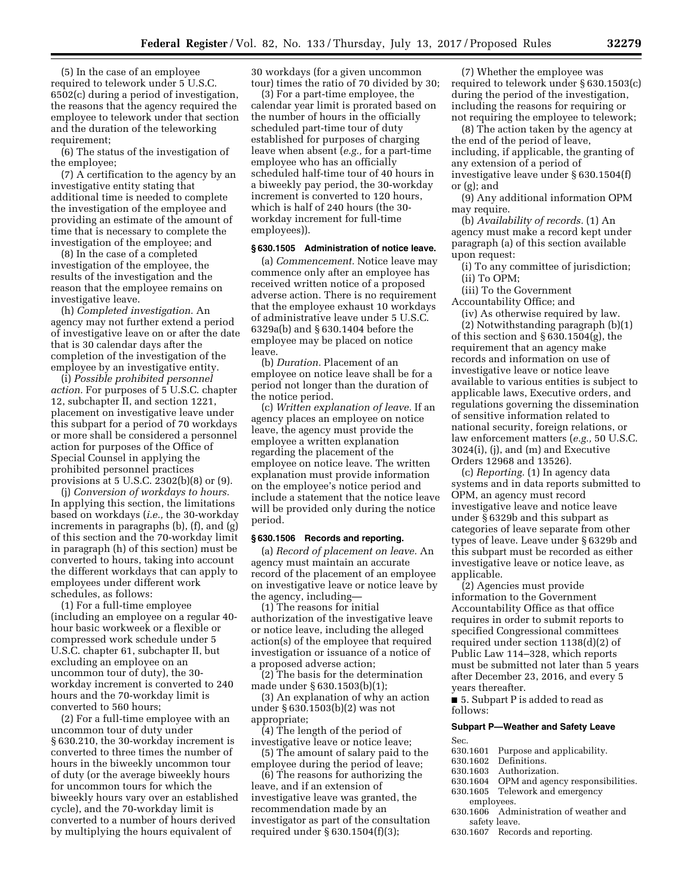(5) In the case of an employee required to telework under 5 U.S.C. 6502(c) during a period of investigation, the reasons that the agency required the employee to telework under that section and the duration of the teleworking requirement;

(6) The status of the investigation of the employee;

(7) A certification to the agency by an investigative entity stating that additional time is needed to complete the investigation of the employee and providing an estimate of the amount of time that is necessary to complete the investigation of the employee; and

(8) In the case of a completed investigation of the employee, the results of the investigation and the reason that the employee remains on investigative leave.

(h) *Completed investigation.* An agency may not further extend a period of investigative leave on or after the date that is 30 calendar days after the completion of the investigation of the employee by an investigative entity.

(i) *Possible prohibited personnel action.* For purposes of 5 U.S.C. chapter 12, subchapter II, and section 1221, placement on investigative leave under this subpart for a period of 70 workdays or more shall be considered a personnel action for purposes of the Office of Special Counsel in applying the prohibited personnel practices provisions at 5 U.S.C. 2302(b)(8) or (9).

(j) *Conversion of workdays to hours.*  In applying this section, the limitations based on workdays (*i.e.,* the 30-workday increments in paragraphs (b), (f), and (g) of this section and the 70-workday limit in paragraph (h) of this section) must be converted to hours, taking into account the different workdays that can apply to employees under different work schedules, as follows:

(1) For a full-time employee (including an employee on a regular 40 hour basic workweek or a flexible or compressed work schedule under 5 U.S.C. chapter 61, subchapter II, but excluding an employee on an uncommon tour of duty), the 30 workday increment is converted to 240 hours and the 70-workday limit is converted to 560 hours;

(2) For a full-time employee with an uncommon tour of duty under § 630.210, the 30-workday increment is converted to three times the number of hours in the biweekly uncommon tour of duty (or the average biweekly hours for uncommon tours for which the biweekly hours vary over an established cycle), and the 70-workday limit is converted to a number of hours derived by multiplying the hours equivalent of

30 workdays (for a given uncommon tour) times the ratio of 70 divided by 30;

(3) For a part-time employee, the calendar year limit is prorated based on the number of hours in the officially scheduled part-time tour of duty established for purposes of charging leave when absent (*e.g.,* for a part-time employee who has an officially scheduled half-time tour of 40 hours in a biweekly pay period, the 30-workday increment is converted to 120 hours, which is half of 240 hours (the 30 workday increment for full-time employees)).

# **§ 630.1505 Administration of notice leave.**

(a) *Commencement.* Notice leave may commence only after an employee has received written notice of a proposed adverse action. There is no requirement that the employee exhaust 10 workdays of administrative leave under 5 U.S.C. 6329a(b) and § 630.1404 before the employee may be placed on notice leave.

(b) *Duration.* Placement of an employee on notice leave shall be for a period not longer than the duration of the notice period.

(c) *Written explanation of leave.* If an agency places an employee on notice leave, the agency must provide the employee a written explanation regarding the placement of the employee on notice leave. The written explanation must provide information on the employee's notice period and include a statement that the notice leave will be provided only during the notice period.

# **§ 630.1506 Records and reporting.**

(a) *Record of placement on leave.* An agency must maintain an accurate record of the placement of an employee on investigative leave or notice leave by the agency, including—

(1) The reasons for initial authorization of the investigative leave or notice leave, including the alleged action(s) of the employee that required investigation or issuance of a notice of a proposed adverse action;

(2) The basis for the determination made under § 630.1503(b)(1);

(3) An explanation of why an action under § 630.1503(b)(2) was not appropriate;

(4) The length of the period of investigative leave or notice leave;

(5) The amount of salary paid to the employee during the period of leave;

(6) The reasons for authorizing the leave, and if an extension of investigative leave was granted, the recommendation made by an investigator as part of the consultation required under § 630.1504(f)(3);

(7) Whether the employee was required to telework under § 630.1503(c) during the period of the investigation, including the reasons for requiring or not requiring the employee to telework;

(8) The action taken by the agency at the end of the period of leave, including, if applicable, the granting of any extension of a period of investigative leave under § 630.1504(f) or (g); and

(9) Any additional information OPM may require.

(b) *Availability of records.* (1) An agency must make a record kept under paragraph (a) of this section available upon request:

(i) To any committee of jurisdiction; (ii) To OPM;

(iii) To the Government

Accountability Office; and

(iv) As otherwise required by law. (2) Notwithstanding paragraph (b)(1) of this section and § 630.1504(g), the requirement that an agency make records and information on use of investigative leave or notice leave available to various entities is subject to applicable laws, Executive orders, and regulations governing the dissemination of sensitive information related to national security, foreign relations, or law enforcement matters (*e.g.,* 50 U.S.C. 3024(i), (j), and (m) and Executive

Orders 12968 and 13526). (c) *Reporting.* (1) In agency data systems and in data reports submitted to OPM, an agency must record investigative leave and notice leave under § 6329b and this subpart as categories of leave separate from other types of leave. Leave under § 6329b and this subpart must be recorded as either investigative leave or notice leave, as applicable.

(2) Agencies must provide information to the Government Accountability Office as that office requires in order to submit reports to specified Congressional committees required under section 1138(d)(2) of Public Law 114–328, which reports must be submitted not later than 5 years after December 23, 2016, and every 5 years thereafter.

■ 5. Subpart P is added to read as follows:

# **Subpart P—Weather and Safety Leave**

- Sec.<br>630.1601 630.1601 Purpose and applicability.<br>630.1602 Definitions.
- 630.1602 Definitions.
- 630.1603 Authorization.<br>630.1604 OPM and agen
- 630.1604 OPM and agency responsibilities.<br>630.1605 Telework and emergency Telework and emergency employees.
- 630.1606 Administration of weather and safety leave.
- 630.1607 Records and reporting.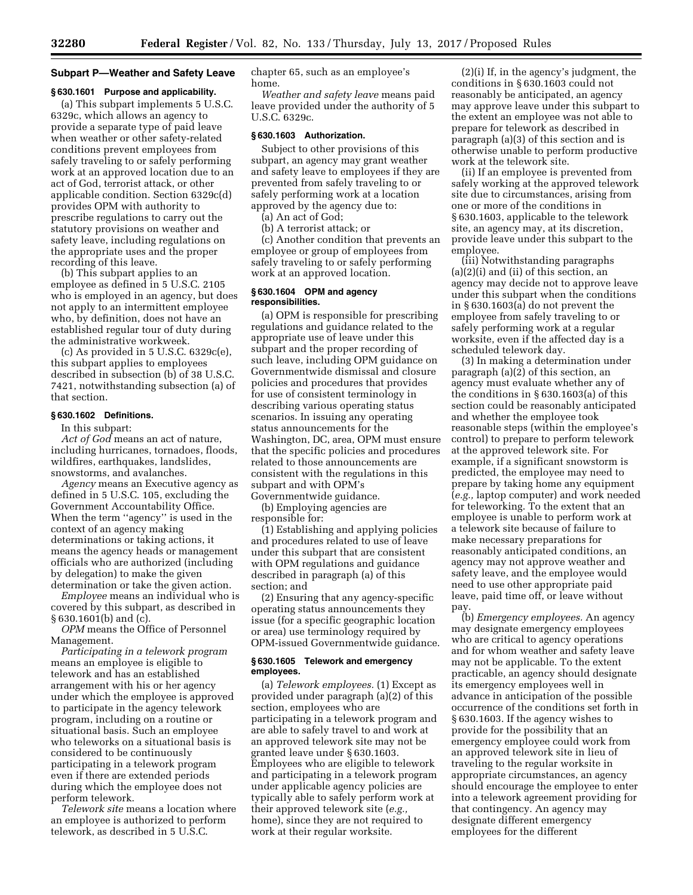# **Subpart P—Weather and Safety Leave**

# **§ 630.1601 Purpose and applicability.**

(a) This subpart implements 5 U.S.C. 6329c, which allows an agency to provide a separate type of paid leave when weather or other safety-related conditions prevent employees from safely traveling to or safely performing work at an approved location due to an act of God, terrorist attack, or other applicable condition. Section 6329c(d) provides OPM with authority to prescribe regulations to carry out the statutory provisions on weather and safety leave, including regulations on the appropriate uses and the proper recording of this leave.

(b) This subpart applies to an employee as defined in 5 U.S.C. 2105 who is employed in an agency, but does not apply to an intermittent employee who, by definition, does not have an established regular tour of duty during the administrative workweek.

(c) As provided in 5 U.S.C. 6329c(e), this subpart applies to employees described in subsection (b) of 38 U.S.C. 7421, notwithstanding subsection (a) of that section.

# **§ 630.1602 Definitions.**

In this subpart:

*Act of God* means an act of nature, including hurricanes, tornadoes, floods, wildfires, earthquakes, landslides, snowstorms, and avalanches.

*Agency* means an Executive agency as defined in 5 U.S.C. 105, excluding the Government Accountability Office. When the term ''agency'' is used in the context of an agency making determinations or taking actions, it means the agency heads or management officials who are authorized (including by delegation) to make the given determination or take the given action.

*Employee* means an individual who is covered by this subpart, as described in § 630.1601(b) and (c).

*OPM* means the Office of Personnel Management.

*Participating in a telework program*  means an employee is eligible to telework and has an established arrangement with his or her agency under which the employee is approved to participate in the agency telework program, including on a routine or situational basis. Such an employee who teleworks on a situational basis is considered to be continuously participating in a telework program even if there are extended periods during which the employee does not perform telework.

*Telework site* means a location where an employee is authorized to perform telework, as described in 5 U.S.C.

chapter 65, such as an employee's home.

*Weather and safety leave* means paid leave provided under the authority of 5 U.S.C. 6329c.

#### **§ 630.1603 Authorization.**

Subject to other provisions of this subpart, an agency may grant weather and safety leave to employees if they are prevented from safely traveling to or safely performing work at a location approved by the agency due to:

(a) An act of God;

(b) A terrorist attack; or

(c) Another condition that prevents an employee or group of employees from safely traveling to or safely performing work at an approved location.

### **§ 630.1604 OPM and agency responsibilities.**

(a) OPM is responsible for prescribing regulations and guidance related to the appropriate use of leave under this subpart and the proper recording of such leave, including OPM guidance on Governmentwide dismissal and closure policies and procedures that provides for use of consistent terminology in describing various operating status scenarios. In issuing any operating status announcements for the Washington, DC, area, OPM must ensure that the specific policies and procedures related to those announcements are consistent with the regulations in this subpart and with OPM's Governmentwide guidance.

(b) Employing agencies are

responsible for:

(1) Establishing and applying policies and procedures related to use of leave under this subpart that are consistent with OPM regulations and guidance described in paragraph (a) of this section; and

(2) Ensuring that any agency-specific operating status announcements they issue (for a specific geographic location or area) use terminology required by OPM-issued Governmentwide guidance.

#### **§ 630.1605 Telework and emergency employees.**

(a) *Telework employees.* (1) Except as provided under paragraph (a)(2) of this section, employees who are participating in a telework program and are able to safely travel to and work at an approved telework site may not be granted leave under § 630.1603. Employees who are eligible to telework and participating in a telework program under applicable agency policies are typically able to safely perform work at their approved telework site (*e.g.,*  home), since they are not required to work at their regular worksite.

(2)(i) If, in the agency's judgment, the conditions in § 630.1603 could not reasonably be anticipated, an agency may approve leave under this subpart to the extent an employee was not able to prepare for telework as described in paragraph (a)(3) of this section and is otherwise unable to perform productive work at the telework site.

(ii) If an employee is prevented from safely working at the approved telework site due to circumstances, arising from one or more of the conditions in § 630.1603, applicable to the telework site, an agency may, at its discretion, provide leave under this subpart to the employee.

(iii) Notwithstanding paragraphs (a)(2)(i) and (ii) of this section, an agency may decide not to approve leave under this subpart when the conditions in § 630.1603(a) do not prevent the employee from safely traveling to or safely performing work at a regular worksite, even if the affected day is a scheduled telework day.

(3) In making a determination under paragraph (a)(2) of this section, an agency must evaluate whether any of the conditions in § 630.1603(a) of this section could be reasonably anticipated and whether the employee took reasonable steps (within the employee's control) to prepare to perform telework at the approved telework site. For example, if a significant snowstorm is predicted, the employee may need to prepare by taking home any equipment (*e.g.,* laptop computer) and work needed for teleworking. To the extent that an employee is unable to perform work at a telework site because of failure to make necessary preparations for reasonably anticipated conditions, an agency may not approve weather and safety leave, and the employee would need to use other appropriate paid leave, paid time off, or leave without pay.

(b) *Emergency employees.* An agency may designate emergency employees who are critical to agency operations and for whom weather and safety leave may not be applicable. To the extent practicable, an agency should designate its emergency employees well in advance in anticipation of the possible occurrence of the conditions set forth in § 630.1603. If the agency wishes to provide for the possibility that an emergency employee could work from an approved telework site in lieu of traveling to the regular worksite in appropriate circumstances, an agency should encourage the employee to enter into a telework agreement providing for that contingency. An agency may designate different emergency employees for the different